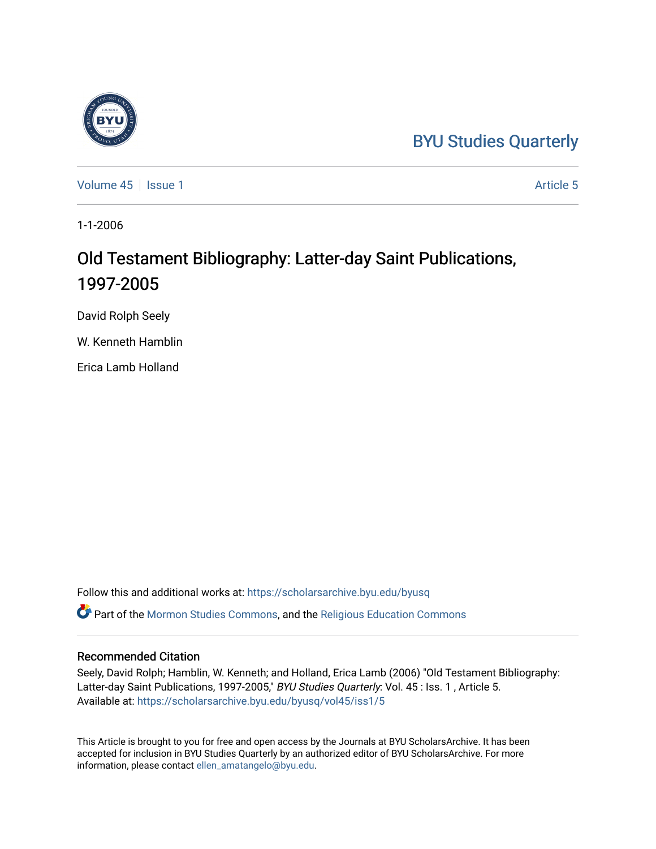# [BYU Studies Quarterly](https://scholarsarchive.byu.edu/byusq)

[Volume 45](https://scholarsarchive.byu.edu/byusq/vol45) | [Issue 1](https://scholarsarchive.byu.edu/byusq/vol45/iss1) [Article 5](https://scholarsarchive.byu.edu/byusq/vol45/iss1/5) | Article 5 | Article 5 | Article 5 | Article 5 | Article 5 | Article 5 | Article 5 | Article 5 | Article 5 | Article 5 | Article 5 | Article 5 | Article 5 | Article 5 | Article 5 | Article 5

1-1-2006

# Old Testament Bibliography: Latter-day Saint Publications, 1997-2005

David Rolph Seely

W. Kenneth Hamblin

Erica Lamb Holland

Follow this and additional works at: [https://scholarsarchive.byu.edu/byusq](https://scholarsarchive.byu.edu/byusq?utm_source=scholarsarchive.byu.edu%2Fbyusq%2Fvol45%2Fiss1%2F5&utm_medium=PDF&utm_campaign=PDFCoverPages)  Part of the [Mormon Studies Commons](http://network.bepress.com/hgg/discipline/1360?utm_source=scholarsarchive.byu.edu%2Fbyusq%2Fvol45%2Fiss1%2F5&utm_medium=PDF&utm_campaign=PDFCoverPages), and the [Religious Education Commons](http://network.bepress.com/hgg/discipline/1414?utm_source=scholarsarchive.byu.edu%2Fbyusq%2Fvol45%2Fiss1%2F5&utm_medium=PDF&utm_campaign=PDFCoverPages) 

## Recommended Citation

Seely, David Rolph; Hamblin, W. Kenneth; and Holland, Erica Lamb (2006) "Old Testament Bibliography: Latter-day Saint Publications, 1997-2005," BYU Studies Quarterly: Vol. 45 : Iss. 1, Article 5. Available at: [https://scholarsarchive.byu.edu/byusq/vol45/iss1/5](https://scholarsarchive.byu.edu/byusq/vol45/iss1/5?utm_source=scholarsarchive.byu.edu%2Fbyusq%2Fvol45%2Fiss1%2F5&utm_medium=PDF&utm_campaign=PDFCoverPages)

This Article is brought to you for free and open access by the Journals at BYU ScholarsArchive. It has been accepted for inclusion in BYU Studies Quarterly by an authorized editor of BYU ScholarsArchive. For more information, please contact [ellen\\_amatangelo@byu.edu.](mailto:ellen_amatangelo@byu.edu)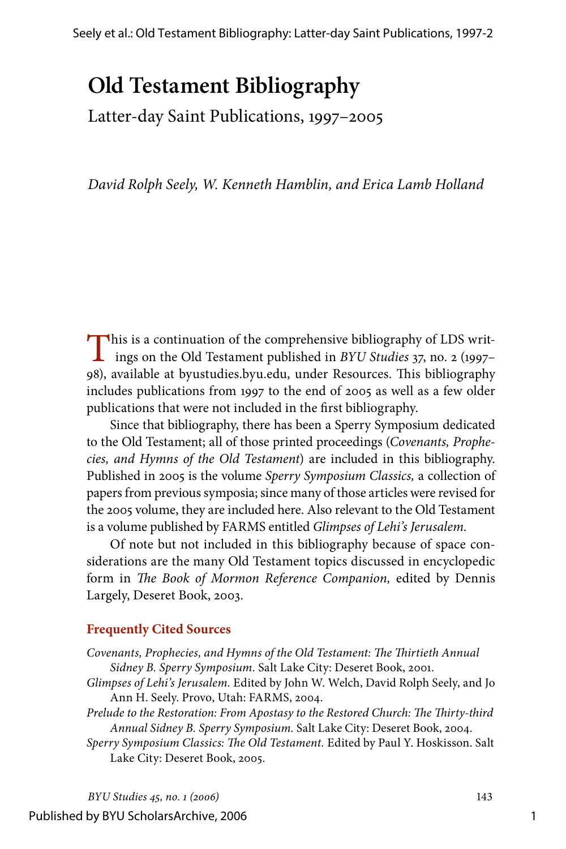# **Old Testament Bibliography**

Latter-day Saint Publications, 1997–2005

*David Rolph Seely, W. Kenneth Hamblin, and Erica Lamb Holland*

This is a continuation of the comprehensive bibliography of LDS writ-<br>ings on the Old Testament published in *BYU Studies* 37, no. 2 (1997– 98), available at byustudies.byu.edu, under Resources. This bibliography includes publications from 1997 to the end of 2005 as well as a few older publications that were not included in the first bibliography.

Since that bibliography, there has been a Sperry Symposium dedicated to the Old Testament; all of those printed proceedings (*Covenants, Prophecies, and Hymns of the Old Testament*) are included in this bibliography. Published in 2005 is the volume *Sperry Symposium Classics,* a collection of papers from previous symposia; since many of those articles were revised for the 2005 volume, they are included here. Also relevant to the Old Testament is a volume published by FARMS entitled *Glimpses of Lehi's Jerusalem.*

Of note but not included in this bibliography because of space considerations are the many Old Testament topics discussed in encyclopedic form in *The Book of Mormon Reference Companion,* edited by Dennis Largely, Deseret Book, 2003.

## **Frequently Cited Sources**

*Covenants, Prophecies, and Hymns of the Old Testament: The Thirtieth Annual Sidney B. Sperry Symposium.* Salt Lake City: Deseret Book, 2001.

*Glimpses of Lehi's Jerusalem.* Edited by John W. Welch, David Rolph Seely, and Jo Ann H. Seely. Provo, Utah: FARMS, 2004.

*Prelude to the Restoration: From Apostasy to the Restored Church: The Thirty-third Annual Sidney B. Sperry Symposium.* Salt Lake City: Deseret Book, 2004.

*Sperry Symposium Classics: The Old Testament.* Edited by Paul Y. Hoskisson. Salt Lake City: Deseret Book, 2005.

*BYU Studies 45, no. 1 (2006)* 143 Published by BYU ScholarsArchive, 2006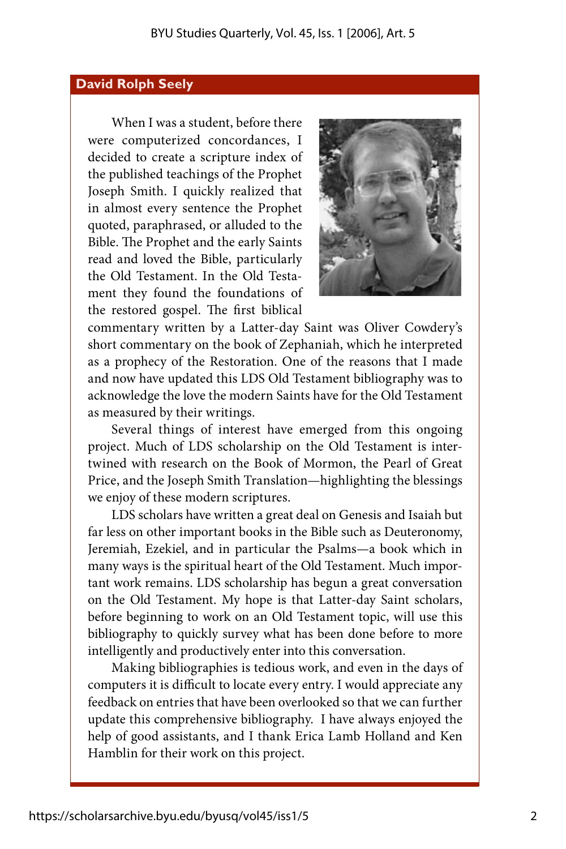#### **David Rolph Seely**

When I was a student, before there were computerized concordances, I decided to create a scripture index of the published teachings of the Prophet Joseph Smith. I quickly realized that in almost every sentence the Prophet quoted, paraphrased, or alluded to the Bible. The Prophet and the early Saints read and loved the Bible, particularly the Old Testament. In the Old Testament they found the foundations of the restored gospel. The first biblical



commentary written by a Latter-day Saint was Oliver Cowdery's short commentary on the book of Zephaniah, which he interpreted as a prophecy of the Restoration. One of the reasons that I made and now have updated this LDS Old Testament bibliography was to acknowledge the love the modern Saints have for the Old Testament as measured by their writings.

Several things of interest have emerged from this ongoing project. Much of LDS scholarship on the Old Testament is intertwined with research on the Book of Mormon, the Pearl of Great Price, and the Joseph Smith Translation—highlighting the blessings we enjoy of these modern scriptures.

LDS scholars have written a great deal on Genesis and Isaiah but far less on other important books in the Bible such as Deuteronomy, Jeremiah, Ezekiel, and in particular the Psalms—a book which in many ways is the spiritual heart of the Old Testament. Much important work remains. LDS scholarship has begun a great conversation on the Old Testament. My hope is that Latter-day Saint scholars, before beginning to work on an Old Testament topic, will use this bibliography to quickly survey what has been done before to more intelligently and productively enter into this conversation.

Making bibliographies is tedious work, and even in the days of computers it is difficult to locate every entry. I would appreciate any feedback on entries that have been overlooked so that we can further update this comprehensive bibliography. I have always enjoyed the help of good assistants, and I thank Erica Lamb Holland and Ken Hamblin for their work on this project.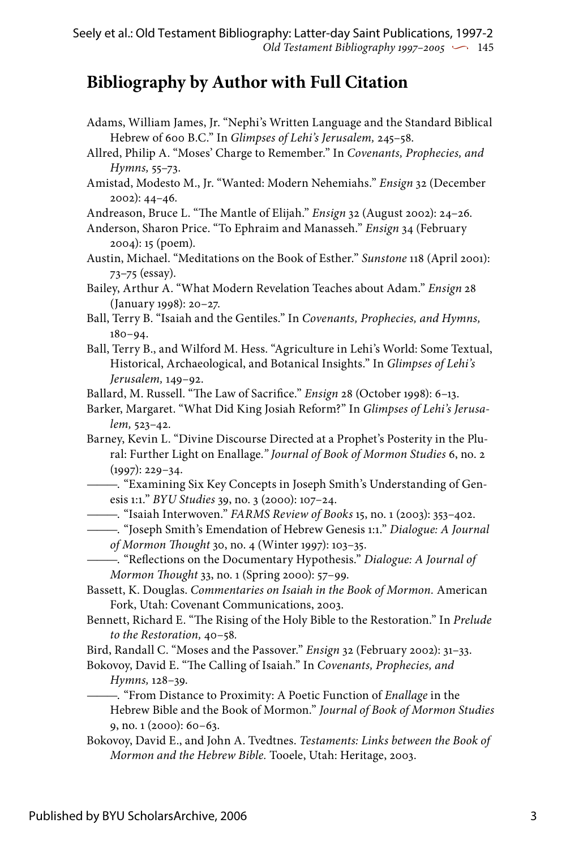## **Bibliography by Author with Full Citation**

- Adams, William James, Jr. "Nephi's Written Language and the Standard Biblical Hebrew of 600 B.C." In *Glimpses of Lehi's Jerusalem,* 245–58.
- Allred, Philip A. "Moses' Charge to Remember." In *Covenants, Prophecies, and Hymns,* 55–73.
- Amistad, Modesto M., Jr. "Wanted: Modern Nehemiahs." *Ensign* 32 (December 2002): 44–46.
- Andreason, Bruce L. "The Mantle of Elijah." *Ensign* 32 (August 2002): 24–26.
- Anderson, Sharon Price. "To Ephraim and Manasseh." *Ensign* 34 (February 2004): 15 (poem).
- Austin, Michael. "Meditations on the Book of Esther." *Sunstone* 118 (April 2001): 73–75 (essay).
- Bailey, Arthur A. "What Modern Revelation Teaches about Adam." *Ensign* 28 (January 1998): 20–27.
- Ball, Terry B. "Isaiah and the Gentiles." In *Covenants, Prophecies, and Hymns,* 180–94.
- Ball, Terry B., and Wilford M. Hess. "Agriculture in Lehi's World: Some Textual, Historical, Archaeological, and Botanical Insights." In *Glimpses of Lehi's Jerusalem,* 149–92.
- Ballard, M. Russell. "The Law of Sacrifice." *Ensign* 28 (October 1998): 6–13.
- Barker, Margaret. "What Did King Josiah Reform?" In *Glimpses of Lehi's Jerusalem,* 523–42.
- Barney, Kevin L. "Divine Discourse Directed at a Prophet's Posterity in the Plural: Further Light on Enallage*." Journal of Book of Mormon Studies* 6, no. 2 (1997): 229–34.
- ———. "Examining Six Key Concepts in Joseph Smith's Understanding of Genesis 1:1." *BYU Studies* 39, no. 3 (2000): 107–24.
- ———. "Isaiah Interwoven." *FARMS Review of Books* 15, no. 1 (2003): 353–402.
- ———. "Joseph Smith's Emendation of Hebrew Genesis 1:1." *Dialogue: A Journal of Mormon Thought* 30, no. 4 (Winter 1997): 103–35.
- ———. "Reflections on the Documentary Hypothesis." *Dialogue: A Journal of Mormon Thought* 33, no. 1 (Spring 2000): 57–99.

Bassett, K. Douglas. *Commentaries on Isaiah in the Book of Mormon.* American Fork, Utah: Covenant Communications, 2003.

Bennett, Richard E. "The Rising of the Holy Bible to the Restoration." In *Prelude to the Restoration,* 40–58*.*

Bird, Randall C. "Moses and the Passover." *Ensign* 32 (February 2002): 31–33.

Bokovoy, David E. "The Calling of Isaiah." In *Covenants, Prophecies, and Hymns,* 128–39.

———. "From Distance to Proximity: A Poetic Function of *Enallage* in the Hebrew Bible and the Book of Mormon." *Journal of Book of Mormon Studies* 9, no. 1 (2000): 60–63.

Bokovoy, David E., and John A. Tvedtnes. *Testaments: Links between the Book of Mormon and the Hebrew Bible.* Tooele, Utah: Heritage, 2003.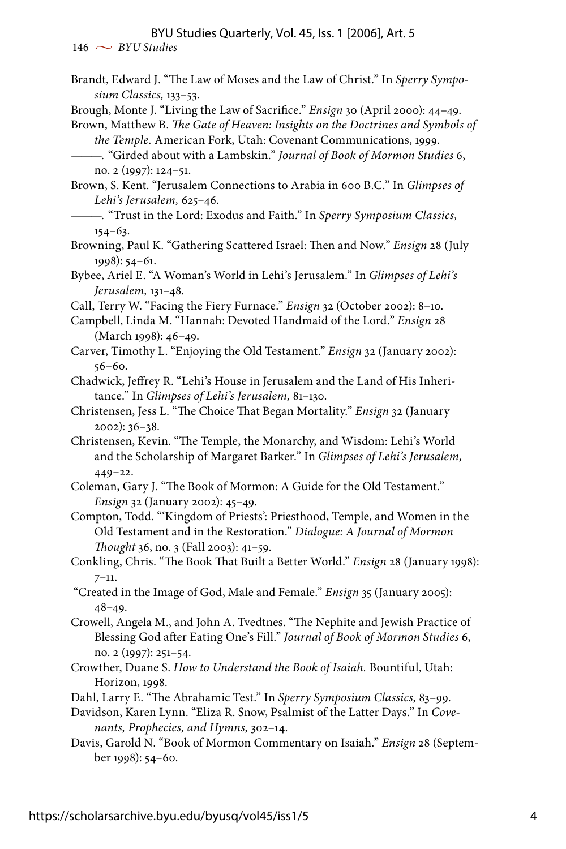$146 \sim$  *BYU Studies* 

- Brandt, Edward J. "The Law of Moses and the Law of Christ." In *Sperry Symposium Classics,* 133–53.
- Brough, Monte J. "Living the Law of Sacrifice." *Ensign* 30 (April 2000): 44–49.

Brown, Matthew B. *The Gate of Heaven: Insights on the Doctrines and Symbols of the Temple.* American Fork, Utah: Covenant Communications, 1999.

———. "Girded about with a Lambskin." *Journal of Book of Mormon Studies* 6, no. 2 (1997): 124–51.

Brown, S. Kent. "Jerusalem Connections to Arabia in 600 B.C." In *Glimpses of Lehi's Jerusalem,* 625–46.

———. "Trust in the Lord: Exodus and Faith." In *Sperry Symposium Classics,* 154–63.

Browning, Paul K. "Gathering Scattered Israel: Then and Now." *Ensign* 28 (July 1998): 54–61.

Bybee, Ariel E. "A Woman's World in Lehi's Jerusalem." In *Glimpses of Lehi's Jerusalem,* 131–48.

Call, Terry W. "Facing the Fiery Furnace." *Ensign* 32 (October 2002): 8–10.

Campbell, Linda M. "Hannah: Devoted Handmaid of the Lord." *Ensign* 28 (March 1998): 46–49.

Carver, Timothy L. "Enjoying the Old Testament." *Ensign* 32 (January 2002): 56–60.

Chadwick, Jeffrey R. "Lehi's House in Jerusalem and the Land of His Inheritance." In *Glimpses of Lehi's Jerusalem,* 81–130.

- Christensen, Jess L. "The Choice That Began Mortality." *Ensign* 32 (January 2002): 36–38.
- Christensen, Kevin. "The Temple, the Monarchy, and Wisdom: Lehi's World and the Scholarship of Margaret Barker." In *Glimpses of Lehi's Jerusalem,* 449–22.
- Coleman, Gary J. "The Book of Mormon: A Guide for the Old Testament." *Ensign* 32 (January 2002): 45–49.
- Compton, Todd. "'Kingdom of Priests': Priesthood, Temple, and Women in the Old Testament and in the Restoration." *Dialogue: A Journal of Mormon Thought* 36, no. 3 (Fall 2003): 41–59.
- Conkling, Chris. "The Book That Built a Better World." *Ensign* 28 (January 1998): 7–11.

 "Created in the Image of God, Male and Female." *Ensign* 35 (January 2005): 48–49.

Crowell, Angela M., and John A. Tvedtnes. "The Nephite and Jewish Practice of Blessing God after Eating One's Fill." *Journal of Book of Mormon Studies* 6, no. 2 (1997): 251–54.

Crowther, Duane S. *How to Understand the Book of Isaiah.* Bountiful, Utah: Horizon, 1998.

Dahl, Larry E. "The Abrahamic Test." In *Sperry Symposium Classics,* 83–99.

Davidson, Karen Lynn. "Eliza R. Snow, Psalmist of the Latter Days." In *Covenants, Prophecies, and Hymns,* 302–14.

Davis, Garold N. "Book of Mormon Commentary on Isaiah." *Ensign* 28 (September 1998): 54–60.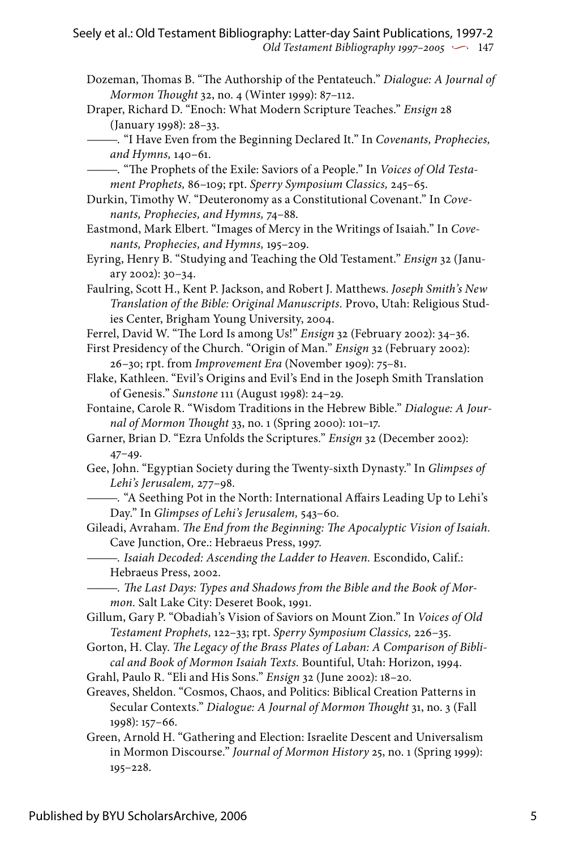- Dozeman, Thomas B. "The Authorship of the Pentateuch." *Dialogue: A Journal of Mormon Thought* 32, no. 4 (Winter 1999): 87–112.
- Draper, Richard D. "Enoch: What Modern Scripture Teaches." *Ensign* 28 (January 1998): 28–33.
- ———. "I Have Even from the Beginning Declared It." In *Covenants, Prophecies, and Hymns,* 140–61.
- ———. "The Prophets of the Exile: Saviors of a People." In *Voices of Old Testament Prophets,* 86–109; rpt. *Sperry Symposium Classics,* 245–65.
- Durkin, Timothy W. "Deuteronomy as a Constitutional Covenant." In *Covenants, Prophecies, and Hymns,* 74–88.
- Eastmond, Mark Elbert. "Images of Mercy in the Writings of Isaiah." In *Covenants, Prophecies, and Hymns,* 195–209.
- Eyring, Henry B. "Studying and Teaching the Old Testament." *Ensign* 32 (January 2002): 30–34.
- Faulring, Scott H., Kent P. Jackson, and Robert J. Matthews. *Joseph Smith's New Translation of the Bible: Original Manuscripts.* Provo, Utah: Religious Studies Center, Brigham Young University, 2004.
- Ferrel, David W. "The Lord Is among Us!" *Ensign* 32 (February 2002): 34–36.
- First Presidency of the Church. "Origin of Man." *Ensign* 32 (February 2002): 26–30; rpt. from *Improvement Era* (November 1909): 75–81.
- Flake, Kathleen. "Evil's Origins and Evil's End in the Joseph Smith Translation of Genesis." *Sunstone* 111 (August 1998): 24–29.
- Fontaine, Carole R. "Wisdom Traditions in the Hebrew Bible." *Dialogue: A Journal of Mormon Thought* 33, no. 1 (Spring 2000): 101–17.
- Garner, Brian D. "Ezra Unfolds the Scriptures." *Ensign* 32 (December 2002): 47–49.
- Gee, John. "Egyptian Society during the Twenty-sixth Dynasty." In *Glimpses of Lehi's Jerusalem,* 277–98.
- ———. "A Seething Pot in the North: International Affairs Leading Up to Lehi's Day." In *Glimpses of Lehi's Jerusalem,* 543–60.
- Gileadi, Avraham. *The End from the Beginning: The Apocalyptic Vision of Isaiah.*  Cave Junction, Ore.: Hebraeus Press, 1997.
- ———. *Isaiah Decoded: Ascending the Ladder to Heaven.* Escondido, Calif.: Hebraeus Press, 2002.
- ———. *The Last Days: Types and Shadows from the Bible and the Book of Mormon.* Salt Lake City: Deseret Book, 1991.
- Gillum, Gary P. "Obadiah's Vision of Saviors on Mount Zion." In *Voices of Old Testament Prophets,* 122–33; rpt. *Sperry Symposium Classics,* 226–35.
- Gorton, H. Clay. *The Legacy of the Brass Plates of Laban: A Comparison of Biblical and Book of Mormon Isaiah Texts.* Bountiful, Utah: Horizon, 1994.
- Grahl, Paulo R. "Eli and His Sons." *Ensign* 32 (June 2002): 18–20.
- Greaves, Sheldon. "Cosmos, Chaos, and Politics: Biblical Creation Patterns in Secular Contexts." *Dialogue: A Journal of Mormon Thought* 31, no. 3 (Fall 1998): 157–66.
- Green, Arnold H. "Gathering and Election: Israelite Descent and Universalism in Mormon Discourse." *Journal of Mormon History* 25, no. 1 (Spring 1999): 195–228.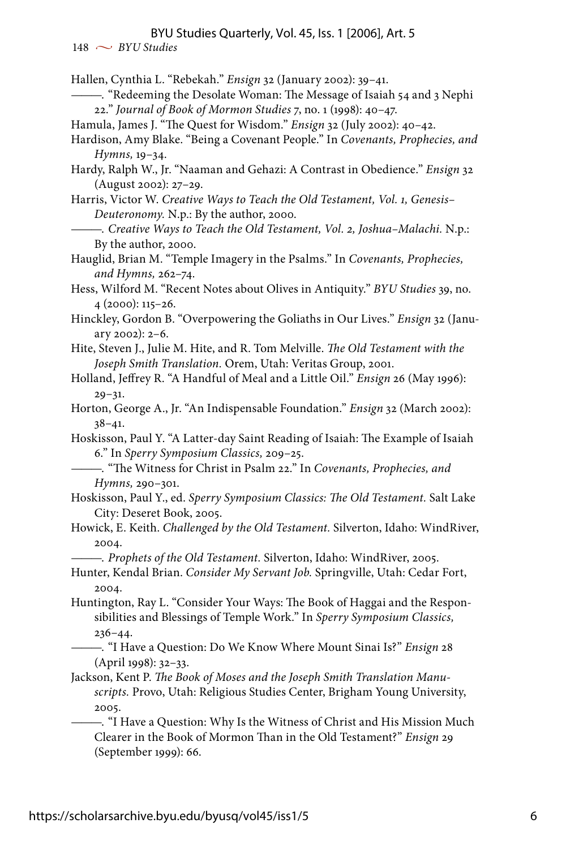148  $\sim$  *BYU Studies* 

Hallen, Cynthia L. "Rebekah." *Ensign* 32 (January 2002): 39–41.

———. "Redeeming the Desolate Woman: The Message of Isaiah 54 and 3 Nephi 22." *Journal of Book of Mormon Studies* 7, no. 1 (1998): 40–47.

Hamula, James J. "The Quest for Wisdom." *Ensign* 32 (July 2002): 40–42.

- Hardison, Amy Blake. "Being a Covenant People." In *Covenants, Prophecies, and Hymns,* 19–34.
- Hardy, Ralph W., Jr. "Naaman and Gehazi: A Contrast in Obedience." *Ensign* 32 (August 2002): 27–29.
- Harris, Victor W. *Creative Ways to Teach the Old Testament, Vol. 1, Genesis– Deuteronomy.* N.p.: By the author, 2000.
- ———. *Creative Ways to Teach the Old Testament, Vol. 2, Joshua–Malachi.* N.p.: By the author, 2000.

Hauglid, Brian M. "Temple Imagery in the Psalms." In *Covenants, Prophecies, and Hymns,* 262–74.

Hess, Wilford M. "Recent Notes about Olives in Antiquity." *BYU Studies* 39, no. 4 (2000): 115–26.

Hinckley, Gordon B. "Overpowering the Goliaths in Our Lives." *Ensign* 32 (January 2002): 2–6.

Hite, Steven J., Julie M. Hite, and R. Tom Melville. *The Old Testament with the Joseph Smith Translation.* Orem, Utah: Veritas Group, 2001.

- Holland, Jeffrey R. "A Handful of Meal and a Little Oil." *Ensign* 26 (May 1996):  $29 - 31.$
- Horton, George A., Jr. "An Indispensable Foundation." *Ensign* 32 (March 2002): 38–41.
- Hoskisson, Paul Y. "A Latter-day Saint Reading of Isaiah: The Example of Isaiah 6." In *Sperry Symposium Classics,* 209–25.
- ———. "The Witness for Christ in Psalm 22." In *Covenants, Prophecies, and Hymns,* 290–301.
- Hoskisson, Paul Y., ed. *Sperry Symposium Classics: The Old Testament.* Salt Lake City: Deseret Book, 2005.
- Howick, E. Keith. *Challenged by the Old Testament.* Silverton, Idaho: WindRiver, 2004.

———. *Prophets of the Old Testament.* Silverton, Idaho: WindRiver, 2005.

Hunter, Kendal Brian. *Consider My Servant Job.* Springville, Utah: Cedar Fort, 2004.

Huntington, Ray L. "Consider Your Ways: The Book of Haggai and the Responsibilities and Blessings of Temple Work." In *Sperry Symposium Classics,* 236–44.

———. "I Have a Question: Do We Know Where Mount Sinai Is?" *Ensign* 28 (April 1998): 32–33.

Jackson, Kent P. *The Book of Moses and the Joseph Smith Translation Manuscripts.* Provo, Utah: Religious Studies Center, Brigham Young University, 2005.

———. "I Have a Question: Why Is the Witness of Christ and His Mission Much Clearer in the Book of Mormon Than in the Old Testament?" *Ensign* 29 (September 1999): 66.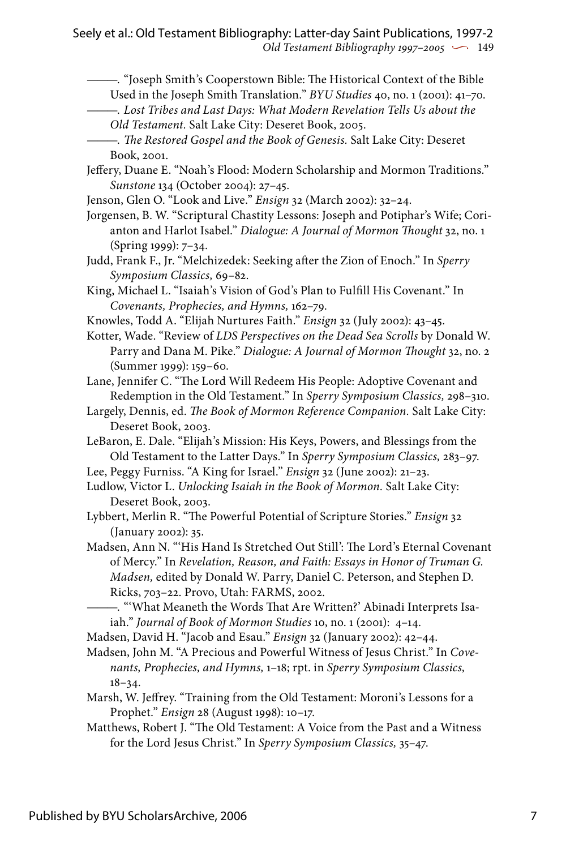#### *Old Testament Bibliography 1997-2005*  $\sim$  149 Seely et al.: Old Testament Bibliography: Latter-day Saint Publications, 1997-2

- ———. "Joseph Smith's Cooperstown Bible: The Historical Context of the Bible Used in the Joseph Smith Translation." *BYU Studies* 40, no. 1 (2001): 41–70.
- ———. *Lost Tribes and Last Days: What Modern Revelation Tells Us about the Old Testament.* Salt Lake City: Deseret Book, 2005.
- ———. *The Restored Gospel and the Book of Genesis.* Salt Lake City: Deseret Book, 2001.

Jeffery, Duane E. "Noah's Flood: Modern Scholarship and Mormon Traditions." *Sunstone* 134 (October 2004): 27–45.

Jenson, Glen O. "Look and Live." *Ensign* 32 (March 2002): 32–24.

- Jorgensen, B. W. "Scriptural Chastity Lessons: Joseph and Potiphar's Wife; Corianton and Harlot Isabel." *Dialogue: A Journal of Mormon Thought* 32, no. 1 (Spring 1999): 7–34.
- Judd, Frank F., Jr. "Melchizedek: Seeking after the Zion of Enoch." In *Sperry Symposium Classics,* 69–82.
- King, Michael L. "Isaiah's Vision of God's Plan to Fulfill His Covenant." In *Covenants, Prophecies, and Hymns,* 162–79.
- Knowles, Todd A. "Elijah Nurtures Faith." *Ensign* 32 (July 2002): 43–45.
- Kotter, Wade. "Review of *LDS Perspectives on the Dead Sea Scrolls* by Donald W. Parry and Dana M. Pike." *Dialogue: A Journal of Mormon Thought* 32, no. 2 (Summer 1999): 159–60.
- Lane, Jennifer C. "The Lord Will Redeem His People: Adoptive Covenant and Redemption in the Old Testament." In *Sperry Symposium Classics,* 298–310.
- Largely, Dennis, ed. *The Book of Mormon Reference Companion.* Salt Lake City: Deseret Book, 2003.
- LeBaron, E. Dale. "Elijah's Mission: His Keys, Powers, and Blessings from the Old Testament to the Latter Days." In *Sperry Symposium Classics,* 283–97.
- Lee, Peggy Furniss. "A King for Israel." *Ensign* 32 (June 2002): 21–23.
- Ludlow, Victor L. *Unlocking Isaiah in the Book of Mormon.* Salt Lake City: Deseret Book, 2003.
- Lybbert, Merlin R. "The Powerful Potential of Scripture Stories." *Ensign* 32 (January 2002): 35.
- Madsen, Ann N. "'His Hand Is Stretched Out Still': The Lord's Eternal Covenant of Mercy." In *Revelation, Reason, and Faith: Essays in Honor of Truman G. Madsen,* edited by Donald W. Parry, Daniel C. Peterson, and Stephen D. Ricks, 703–22. Provo, Utah: FARMS, 2002.
	- ———. "'What Meaneth the Words That Are Written?' Abinadi Interprets Isaiah." *Journal of Book of Mormon Studies* 10, no. 1 (2001): 4–14.
- Madsen, David H. "Jacob and Esau." *Ensign* 32 (January 2002): 42–44.
- Madsen, John M. "A Precious and Powerful Witness of Jesus Christ." In *Covenants, Prophecies, and Hymns,* 1–18; rpt. in *Sperry Symposium Classics,* 18–34.
- Marsh, W. Jeffrey. "Training from the Old Testament: Moroni's Lessons for a Prophet." *Ensign* 28 (August 1998): 10–17.
- Matthews, Robert J. "The Old Testament: A Voice from the Past and a Witness for the Lord Jesus Christ." In *Sperry Symposium Classics,* 35–47.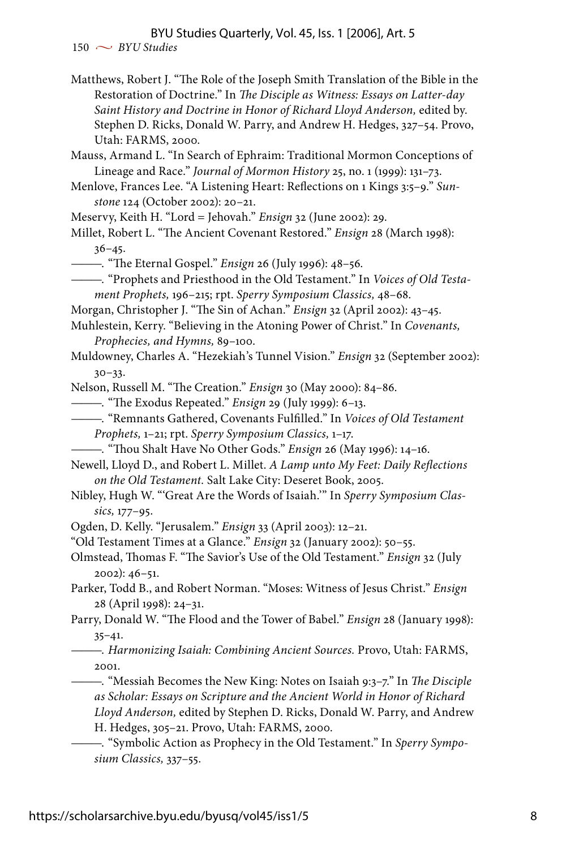$150 \sim$  *BYU Studies* 

- Matthews, Robert J. "The Role of the Joseph Smith Translation of the Bible in the Restoration of Doctrine." In *The Disciple as Witness: Essays on Latter-day Saint History and Doctrine in Honor of Richard Lloyd Anderson,* edited by. Stephen D. Ricks, Donald W. Parry, and Andrew H. Hedges, 327–54. Provo, Utah: FARMS, 2000.
- Mauss, Armand L. "In Search of Ephraim: Traditional Mormon Conceptions of Lineage and Race." *Journal of Mormon History* 25, no. 1 (1999): 131–73.
- Menlove, Frances Lee. "A Listening Heart: Reflections on 1 Kings 3:5–9." *Sunstone* 124 (October 2002): 20–21.
- Meservy, Keith H. "Lord = Jehovah." *Ensign* 32 (June 2002): 29.
- Millet, Robert L. "The Ancient Covenant Restored." *Ensign* 28 (March 1998):  $36 - 45.$
- ———. "The Eternal Gospel." *Ensign* 26 (July 1996): 48–56.
- ———. "Prophets and Priesthood in the Old Testament." In *Voices of Old Testament Prophets,* 196–215; rpt. *Sperry Symposium Classics,* 48–68.
- Morgan, Christopher J. "The Sin of Achan." *Ensign* 32 (April 2002): 43–45.
- Muhlestein, Kerry. "Believing in the Atoning Power of Christ." In *Covenants, Prophecies, and Hymns,* 89–100.
- Muldowney, Charles A. "Hezekiah's Tunnel Vision." *Ensign* 32 (September 2002): 30–33.
- Nelson, Russell M. "The Creation." *Ensign* 30 (May 2000): 84–86.
- ———. "The Exodus Repeated." *Ensign* 29 (July 1999): 6–13.
- ———. "Remnants Gathered, Covenants Fulfilled." In *Voices of Old Testament Prophets,* 1–21; rpt. *Sperry Symposium Classics,* 1–17.
- ———. "Thou Shalt Have No Other Gods." *Ensign* 26 (May 1996): 14–16.
- Newell, Lloyd D., and Robert L. Millet. *A Lamp unto My Feet: Daily Reflections on the Old Testament.* Salt Lake City: Deseret Book, 2005.
- Nibley, Hugh W. "'Great Are the Words of Isaiah.'" In *Sperry Symposium Classics,* 177–95.
- Ogden, D. Kelly. "Jerusalem." *Ensign* 33 (April 2003): 12–21.
- "Old Testament Times at a Glance." *Ensign* 32 (January 2002): 50–55.
- Olmstead, Thomas F. "The Savior's Use of the Old Testament." *Ensign* 32 (July 2002): 46–51.
- Parker, Todd B., and Robert Norman. "Moses: Witness of Jesus Christ." *Ensign* 28 (April 1998): 24–31.
- Parry, Donald W. "The Flood and the Tower of Babel." *Ensign* 28 (January 1998): 35–41.
	- ———. *Harmonizing Isaiah: Combining Ancient Sources.* Provo, Utah: FARMS, 2001.
		- ———. "Messiah Becomes the New King: Notes on Isaiah 9:3–7." In *The Disciple as Scholar: Essays on Scripture and the Ancient World in Honor of Richard Lloyd Anderson,* edited by Stephen D. Ricks, Donald W. Parry, and Andrew H. Hedges, 305–21. Provo, Utah: FARMS, 2000.
- ———. "Symbolic Action as Prophecy in the Old Testament." In *Sperry Symposium Classics,* 337–55.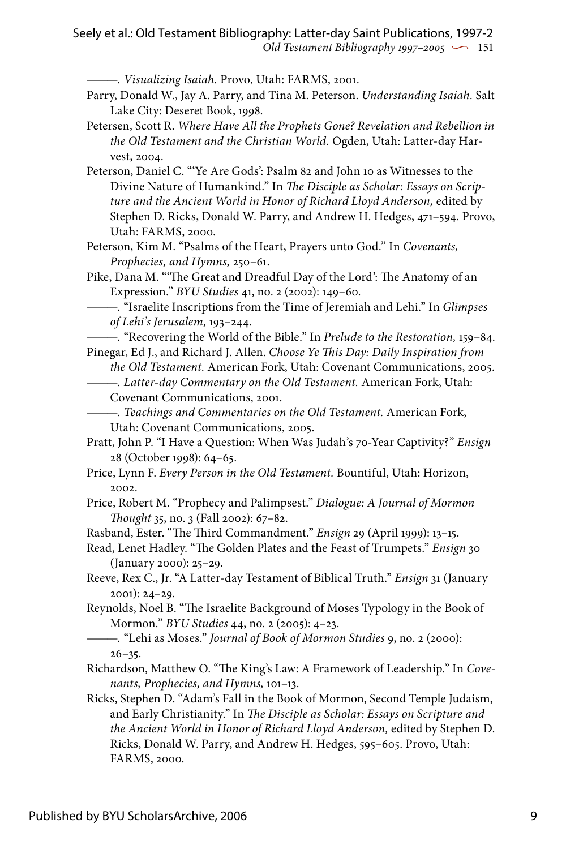———. *Visualizing Isaiah.* Provo, Utah: FARMS, 2001.

- Parry, Donald W., Jay A. Parry, and Tina M. Peterson. *Understanding Isaiah.* Salt Lake City: Deseret Book, 1998.
- Petersen, Scott R. *Where Have All the Prophets Gone? Revelation and Rebellion in the Old Testament and the Christian World.* Ogden, Utah: Latter-day Harvest, 2004.
- Peterson, Daniel C. "'Ye Are Gods': Psalm 82 and John 10 as Witnesses to the Divine Nature of Humankind." In *The Disciple as Scholar: Essays on Scripture and the Ancient World in Honor of Richard Lloyd Anderson,* edited by Stephen D. Ricks, Donald W. Parry, and Andrew H. Hedges, 471–594. Provo, Utah: FARMS, 2000.
- Peterson, Kim M. "Psalms of the Heart, Prayers unto God." In *Covenants, Prophecies, and Hymns,* 250–61.
- Pike, Dana M. "'The Great and Dreadful Day of the Lord': The Anatomy of an Expression." *BYU Studies* 41, no. 2 (2002): 149–60.
	- ———. "Israelite Inscriptions from the Time of Jeremiah and Lehi." In *Glimpses of Lehi's Jerusalem,* 193–244.

———. "Recovering the World of the Bible." In *Prelude to the Restoration,* 159–84. Pinegar, Ed J., and Richard J. Allen. *Choose Ye This Day: Daily Inspiration from* 

*the Old Testament.* American Fork, Utah: Covenant Communications, 2005. ———. *Latter-day Commentary on the Old Testament.* American Fork, Utah:

- Covenant Communications, 2001.
- ———. *Teachings and Commentaries on the Old Testament.* American Fork, Utah: Covenant Communications, 2005.
- Pratt, John P. "I Have a Question: When Was Judah's 70-Year Captivity?" *Ensign* 28 (October 1998): 64–65.
- Price, Lynn F. *Every Person in the Old Testament.* Bountiful, Utah: Horizon, 2002.
- Price, Robert M. "Prophecy and Palimpsest." *Dialogue: A Journal of Mormon Thought* 35, no. 3 (Fall 2002): 67–82.
- Rasband, Ester. "The Third Commandment." *Ensign* 29 (April 1999): 13–15.
- Read, Lenet Hadley. "The Golden Plates and the Feast of Trumpets." *Ensign* 30 (January 2000): 25–29.
- Reeve, Rex C., Jr. "A Latter-day Testament of Biblical Truth." *Ensign* 31 (January 2001): 24–29.
- Reynolds, Noel B. "The Israelite Background of Moses Typology in the Book of Mormon." *BYU Studies* 44, no. 2 (2005): 4–23.
- ———. "Lehi as Moses." *Journal of Book of Mormon Studies* 9, no. 2 (2000):  $26 - 35.$
- Richardson, Matthew O. "The King's Law: A Framework of Leadership." In *Covenants, Prophecies, and Hymns,* 101–13.
- Ricks, Stephen D. "Adam's Fall in the Book of Mormon, Second Temple Judaism, and Early Christianity." In *The Disciple as Scholar: Essays on Scripture and the Ancient World in Honor of Richard Lloyd Anderson,* edited by Stephen D. Ricks, Donald W. Parry, and Andrew H. Hedges, 595–605. Provo, Utah: FARMS, 2000.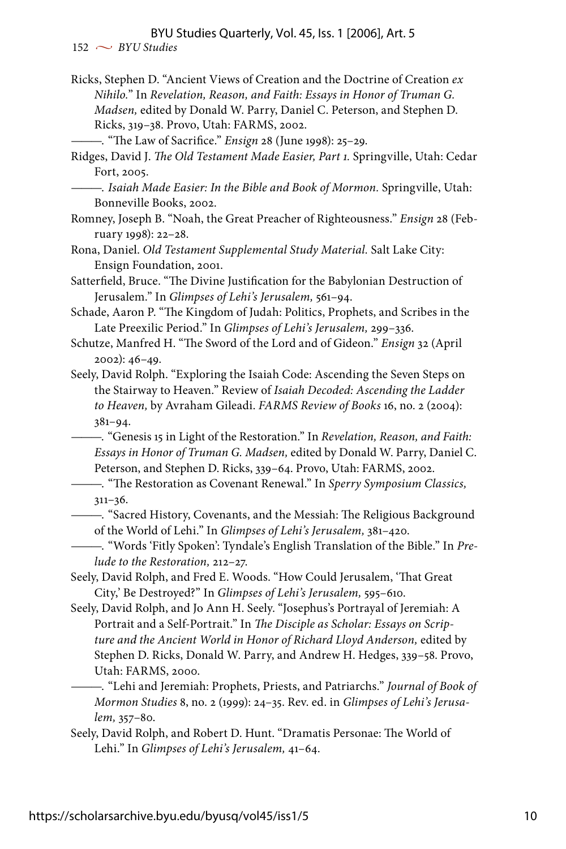$152 \sim$  *BYU Studies* 

Ricks, Stephen D. "Ancient Views of Creation and the Doctrine of Creation *ex Nihilo.*" In *Revelation, Reason, and Faith: Essays in Honor of Truman G. Madsen,* edited by Donald W. Parry, Daniel C. Peterson, and Stephen D. Ricks, 319–38. Provo, Utah: FARMS, 2002.

———. "The Law of Sacrifice." *Ensign* 28 (June 1998): 25–29.

- Ridges, David J. *The Old Testament Made Easier, Part 1.* Springville, Utah: Cedar Fort, 2005.
	- ———. *Isaiah Made Easier: In the Bible and Book of Mormon.* Springville, Utah: Bonneville Books, 2002.
- Romney, Joseph B. "Noah, the Great Preacher of Righteousness." *Ensign* 28 (February 1998): 22–28.
- Rona, Daniel. *Old Testament Supplemental Study Material.* Salt Lake City: Ensign Foundation, 2001.
- Satterfield, Bruce. "The Divine Justification for the Babylonian Destruction of Jerusalem." In *Glimpses of Lehi's Jerusalem,* 561–94.
- Schade, Aaron P. "The Kingdom of Judah: Politics, Prophets, and Scribes in the Late Preexilic Period." In *Glimpses of Lehi's Jerusalem,* 299–336.
- Schutze, Manfred H. "The Sword of the Lord and of Gideon." *Ensign* 32 (April 2002): 46–49.
- Seely, David Rolph. "Exploring the Isaiah Code: Ascending the Seven Steps on the Stairway to Heaven." Review of *Isaiah Decoded: Ascending the Ladder to Heaven,* by Avraham Gileadi. *FARMS Review of Books* 16, no. 2 (2004): 381–94.
- ———. "Genesis 15 in Light of the Restoration." In *Revelation, Reason, and Faith: Essays in Honor of Truman G. Madsen,* edited by Donald W. Parry, Daniel C. Peterson, and Stephen D. Ricks, 339–64. Provo, Utah: FARMS, 2002.
- ———. "The Restoration as Covenant Renewal." In *Sperry Symposium Classics,* 311–36.
- ———. "Sacred History, Covenants, and the Messiah: The Religious Background of the World of Lehi." In *Glimpses of Lehi's Jerusalem,* 381–420.
- ———. "Words 'Fitly Spoken': Tyndale's English Translation of the Bible." In *Prelude to the Restoration,* 212–27.
- Seely, David Rolph, and Fred E. Woods. "How Could Jerusalem, 'That Great City,' Be Destroyed?" In *Glimpses of Lehi's Jerusalem,* 595–610.
- Seely, David Rolph, and Jo Ann H. Seely. "Josephus's Portrayal of Jeremiah: A Portrait and a Self-Portrait." In *The Disciple as Scholar: Essays on Scripture and the Ancient World in Honor of Richard Lloyd Anderson,* edited by Stephen D. Ricks, Donald W. Parry, and Andrew H. Hedges, 339–58. Provo, Utah: FARMS, 2000.
	- ———. "Lehi and Jeremiah: Prophets, Priests, and Patriarchs." *Journal of Book of Mormon Studies* 8, no. 2 (1999): 24–35. Rev. ed. in *Glimpses of Lehi's Jerusalem,* 357–80.
- Seely, David Rolph, and Robert D. Hunt. "Dramatis Personae: The World of Lehi." In *Glimpses of Lehi's Jerusalem,* 41–64.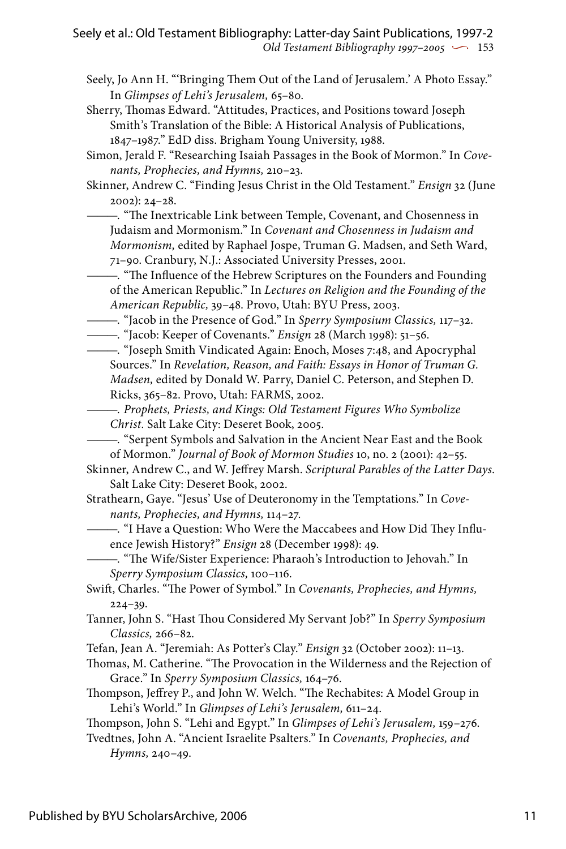Seely, Jo Ann H. "'Bringing Them Out of the Land of Jerusalem.' A Photo Essay." In *Glimpses of Lehi's Jerusalem,* 65–80.

Sherry, Thomas Edward. "Attitudes, Practices, and Positions toward Joseph Smith's Translation of the Bible: A Historical Analysis of Publications, 1847–1987." EdD diss. Brigham Young University, 1988.

- Simon, Jerald F. "Researching Isaiah Passages in the Book of Mormon." In *Covenants, Prophecies, and Hymns,* 210–23.
- Skinner, Andrew C. "Finding Jesus Christ in the Old Testament." *Ensign* 32 (June 2002): 24–28.
	- ———. "The Inextricable Link between Temple, Covenant, and Chosenness in Judaism and Mormonism." In *Covenant and Chosenness in Judaism and Mormonism,* edited by Raphael Jospe, Truman G. Madsen, and Seth Ward, 71–90. Cranbury, N.J.: Associated University Presses, 2001.
- ———. "The Influence of the Hebrew Scriptures on the Founders and Founding of the American Republic." In *Lectures on Religion and the Founding of the American Republic,* 39–48. Provo, Utah: BYU Press, 2003.
- ———. "Jacob in the Presence of God." In *Sperry Symposium Classics,* 117–32.
- ———. "Jacob: Keeper of Covenants." *Ensign* 28 (March 1998): 51–56.
- ———. "Joseph Smith Vindicated Again: Enoch, Moses 7:48, and Apocryphal Sources." In *Revelation, Reason, and Faith: Essays in Honor of Truman G. Madsen,* edited by Donald W. Parry, Daniel C. Peterson, and Stephen D. Ricks, 365–82. Provo, Utah: FARMS, 2002.
- ———. *Prophets, Priests, and Kings: Old Testament Figures Who Symbolize Christ.* Salt Lake City: Deseret Book, 2005.
	- ———. "Serpent Symbols and Salvation in the Ancient Near East and the Book of Mormon." *Journal of Book of Mormon Studies* 10, no. 2 (2001): 42–55.
- Skinner, Andrew C., and W. Jeffrey Marsh. *Scriptural Parables of the Latter Days*. Salt Lake City: Deseret Book, 2002.
- Strathearn, Gaye. "Jesus' Use of Deuteronomy in the Temptations." In *Covenants, Prophecies, and Hymns,* 114–27.
- ———. "I Have a Question: Who Were the Maccabees and How Did They Influence Jewish History?" *Ensign* 28 (December 1998): 49.
- ———. "The Wife/Sister Experience: Pharaoh's Introduction to Jehovah." In *Sperry Symposium Classics,* 100–116.
- Swift, Charles. "The Power of Symbol." In *Covenants, Prophecies, and Hymns,*  $224 - 39.$
- Tanner, John S. "Hast Thou Considered My Servant Job?" In *Sperry Symposium Classics,* 266–82.
- Tefan, Jean A. "Jeremiah: As Potter's Clay." *Ensign* 32 (October 2002): 11–13.
- Thomas, M. Catherine. "The Provocation in the Wilderness and the Rejection of Grace." In *Sperry Symposium Classics,* 164–76.
- Thompson, Jeffrey P., and John W. Welch. "The Rechabites: A Model Group in Lehi's World." In *Glimpses of Lehi's Jerusalem,* 611–24.
- Thompson, John S. "Lehi and Egypt." In *Glimpses of Lehi's Jerusalem,* 159–276.
- Tvedtnes, John A. "Ancient Israelite Psalters." In *Covenants, Prophecies, and Hymns,* 240–49.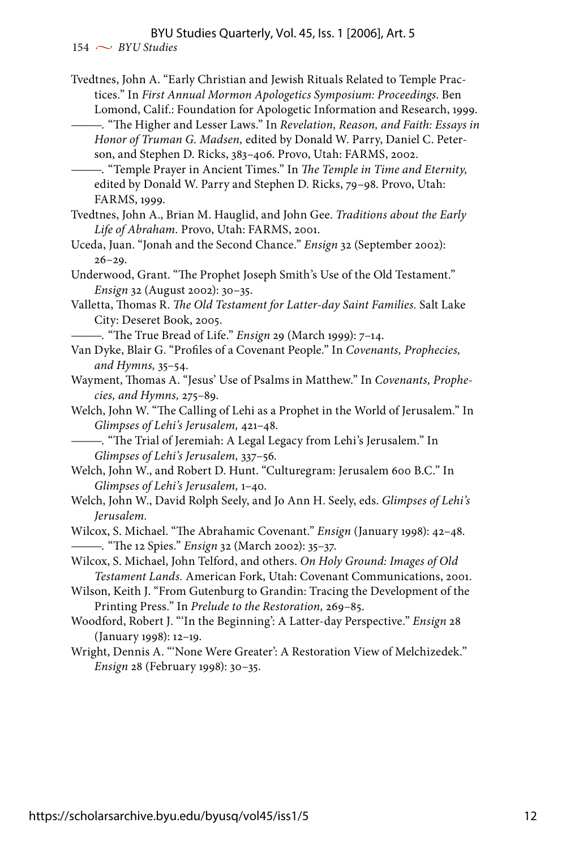154  $\sim$  *BYU Studies* 

| Tvedtnes, John A. "Early Christian and Jewish Rituals Related to Temple Prac- |
|-------------------------------------------------------------------------------|
| tices." In First Annual Mormon Apologetics Symposium: Proceedings. Ben        |
| Lomond, Calif.: Foundation for Apologetic Information and Research, 1999.     |
| - The Higher and Lesser Laws." In Revelation, Reason, and Faith: Essays in    |

*Honor of Truman G. Madsen,* edited by Donald W. Parry, Daniel C. Peterson, and Stephen D. Ricks, 383–406. Provo, Utah: FARMS, 2002.

———. "Temple Prayer in Ancient Times." In *The Temple in Time and Eternity,* edited by Donald W. Parry and Stephen D. Ricks, 79–98. Provo, Utah: FARMS, 1999.

Tvedtnes, John A., Brian M. Hauglid, and John Gee. *Traditions about the Early Life of Abraham.* Provo, Utah: FARMS, 2001.

Uceda, Juan. "Jonah and the Second Chance." *Ensign* 32 (September 2002):  $26 - 29.$ 

Underwood, Grant. "The Prophet Joseph Smith's Use of the Old Testament." *Ensign* 32 (August 2002): 30–35.

Valletta, Thomas R. *The Old Testament for Latter-day Saint Families.* Salt Lake City: Deseret Book, 2005.

———. "The True Bread of Life." *Ensign* 29 (March 1999): 7–14.

- Van Dyke, Blair G. "Profiles of a Covenant People." In *Covenants, Prophecies, and Hymns,* 35–54.
- Wayment, Thomas A. "Jesus' Use of Psalms in Matthew." In *Covenants, Prophecies, and Hymns,* 275–89.
- Welch, John W. "The Calling of Lehi as a Prophet in the World of Jerusalem." In *Glimpses of Lehi's Jerusalem,* 421–48.

———. "The Trial of Jeremiah: A Legal Legacy from Lehi's Jerusalem." In *Glimpses of Lehi's Jerusalem,* 337–56.

Welch, John W., and Robert D. Hunt. "Culturegram: Jerusalem 600 B.C." In *Glimpses of Lehi's Jerusalem,* 1–40.

Welch, John W., David Rolph Seely, and Jo Ann H. Seely, eds. *Glimpses of Lehi's Jerusalem.*

Wilcox, S. Michael. "The Abrahamic Covenant." *Ensign* (January 1998): 42–48. ———. "The 12 Spies." *Ensign* 32 (March 2002): 35–37.

Wilcox, S. Michael, John Telford, and others. *On Holy Ground: Images of Old Testament Lands.* American Fork, Utah: Covenant Communications, 2001.

Wilson, Keith J. "From Gutenburg to Grandin: Tracing the Development of the Printing Press." In *Prelude to the Restoration,* 269–85.

Woodford, Robert J. "'In the Beginning': A Latter-day Perspective." *Ensign* 28 (January 1998): 12–19.

Wright, Dennis A. "'None Were Greater': A Restoration View of Melchizedek." *Ensign* 28 (February 1998): 30–35.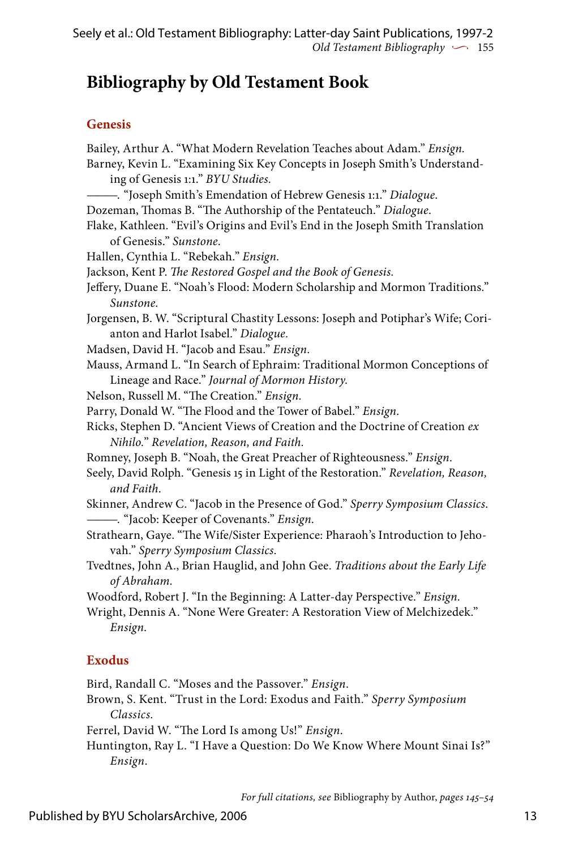## **Bibliography by Old Testament Book**

## **Genesis**

Bailey, Arthur A. "What Modern Revelation Teaches about Adam." *Ensign.* Barney, Kevin L. "Examining Six Key Concepts in Joseph Smith's Understanding of Genesis 1:1." *BYU Studies.* ———. "Joseph Smith's Emendation of Hebrew Genesis 1:1." *Dialogue*. Dozeman, Thomas B. "The Authorship of the Pentateuch." *Dialogue*. Flake, Kathleen. "Evil's Origins and Evil's End in the Joseph Smith Translation of Genesis." *Sunstone*. Hallen, Cynthia L. "Rebekah." *Ensign*. Jackson, Kent P. *The Restored Gospel and the Book of Genesis.*  Jeffery, Duane E. "Noah's Flood: Modern Scholarship and Mormon Traditions." *Sunstone*. Jorgensen, B. W. "Scriptural Chastity Lessons: Joseph and Potiphar's Wife; Corianton and Harlot Isabel." *Dialogue.* Madsen, David H. "Jacob and Esau." *Ensign*. Mauss, Armand L. "In Search of Ephraim: Traditional Mormon Conceptions of Lineage and Race." *Journal of Mormon History*. Nelson, Russell M. "The Creation." *Ensign*. Parry, Donald W. "The Flood and the Tower of Babel." *Ensign*. Ricks, Stephen D. "Ancient Views of Creation and the Doctrine of Creation *ex Nihilo.*" *Revelation, Reason, and Faith.* Romney, Joseph B. "Noah, the Great Preacher of Righteousness." *Ensign*. Seely, David Rolph. "Genesis 15 in Light of the Restoration." *Revelation, Reason, and Faith*. Skinner, Andrew C. "Jacob in the Presence of God." *Sperry Symposium Classics*. ———. "Jacob: Keeper of Covenants." *Ensign*. Strathearn, Gaye. "The Wife/Sister Experience: Pharaoh's Introduction to Jehovah." *Sperry Symposium Classics*. Tvedtnes, John A., Brian Hauglid, and John Gee. *Traditions about the Early Life of Abraham.* Woodford, Robert J. "In the Beginning: A Latter-day Perspective." *Ensign*. Wright, Dennis A. "None Were Greater: A Restoration View of Melchizedek." *Ensign*. **Exodus** Bird, Randall C. "Moses and the Passover." *Ensign*. Brown, S. Kent. "Trust in the Lord: Exodus and Faith." *Sperry Symposium Classics*.

Ferrel, David W. "The Lord Is among Us!" *Ensign*.

Huntington, Ray L. "I Have a Question: Do We Know Where Mount Sinai Is?" *Ensign*.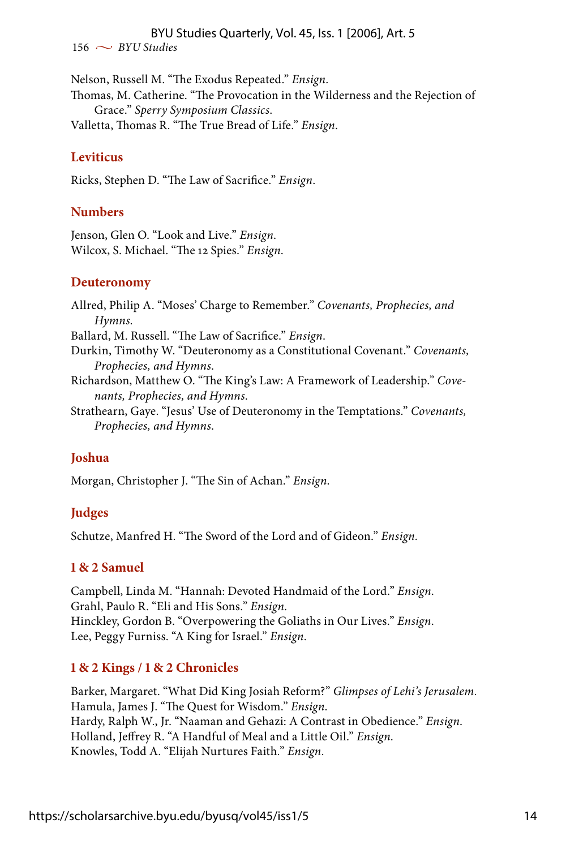156  $\sim$  *BYU Studies* 

Nelson, Russell M. "The Exodus Repeated." *Ensign*.

- Thomas, M. Catherine. "The Provocation in the Wilderness and the Rejection of Grace." *Sperry Symposium Classics*.
- Valletta, Thomas R. "The True Bread of Life." *Ensign*.

#### **Leviticus**

Ricks, Stephen D. "The Law of Sacrifice." *Ensign*.

#### **Numbers**

Jenson, Glen O. "Look and Live." *Ensign*. Wilcox, S. Michael. "The 12 Spies." *Ensign*.

#### **Deuteronomy**

Allred, Philip A. "Moses' Charge to Remember." *Covenants, Prophecies, and Hymns*.

Ballard, M. Russell. "The Law of Sacrifice." *Ensign*.

- Durkin, Timothy W. "Deuteronomy as a Constitutional Covenant." *Covenants, Prophecies, and Hymns*.
- Richardson, Matthew O. "The King's Law: A Framework of Leadership." *Covenants, Prophecies, and Hymns*.
- Strathearn, Gaye. "Jesus' Use of Deuteronomy in the Temptations." *Covenants, Prophecies, and Hymns*.

#### **Joshua**

Morgan, Christopher J. "The Sin of Achan." *Ensign*.

#### **Judges**

Schutze, Manfred H. "The Sword of the Lord and of Gideon." *Ensign.*

#### **1 & 2 Samuel**

Campbell, Linda M. "Hannah: Devoted Handmaid of the Lord." *Ensign*. Grahl, Paulo R. "Eli and His Sons." *Ensign*. Hinckley, Gordon B. "Overpowering the Goliaths in Our Lives." *Ensign*. Lee, Peggy Furniss. "A King for Israel." *Ensign*.

#### **1 & 2 Kings / 1 & 2 Chronicles**

Barker, Margaret. "What Did King Josiah Reform?" *Glimpses of Lehi's Jerusalem.* Hamula, James J. "The Quest for Wisdom." *Ensign*. Hardy, Ralph W., Jr. "Naaman and Gehazi: A Contrast in Obedience." *Ensign*. Holland, Jeffrey R. "A Handful of Meal and a Little Oil." *Ensign*. Knowles, Todd A. "Elijah Nurtures Faith." *Ensign*.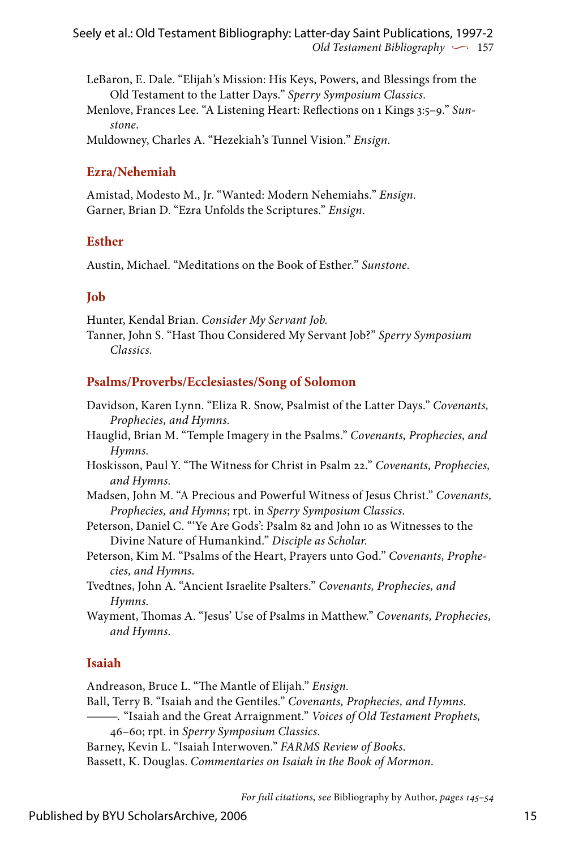LeBaron, E. Dale. "Elijah's Mission: His Keys, Powers, and Blessings from the Old Testament to the Latter Days." *Sperry Symposium Classics.*

Menlove, Frances Lee. "A Listening Heart: Reflections on 1 Kings 3:5–9." *Sunstone*.

Muldowney, Charles A. "Hezekiah's Tunnel Vision." *Ensign*.

## **Ezra/Nehemiah**

Amistad, Modesto M., Jr. "Wanted: Modern Nehemiahs." *Ensign*. Garner, Brian D. "Ezra Unfolds the Scriptures." *Ensign*.

## **Esther**

Austin, Michael. "Meditations on the Book of Esther." *Sunstone.*

## **Job**

Hunter, Kendal Brian. *Consider My Servant Job.* 

Tanner, John S. "Hast Thou Considered My Servant Job?" *Sperry Symposium Classics.*

## **Psalms/Proverbs/Ecclesiastes/Song of Solomon**

- Davidson, Karen Lynn. "Eliza R. Snow, Psalmist of the Latter Days." *Covenants, Prophecies, and Hymns.*
- Hauglid, Brian M. "Temple Imagery in the Psalms." *Covenants, Prophecies, and Hymns.*
- Hoskisson, Paul Y. "The Witness for Christ in Psalm 22." *Covenants, Prophecies, and Hymns.*
- Madsen, John M. "A Precious and Powerful Witness of Jesus Christ." *Covenants, Prophecies, and Hymns*; rpt. in *Sperry Symposium Classics*.
- Peterson, Daniel C. "'Ye Are Gods': Psalm 82 and John 10 as Witnesses to the Divine Nature of Humankind." *Disciple as Scholar.*
- Peterson, Kim M. "Psalms of the Heart, Prayers unto God." *Covenants, Prophecies, and Hymns*.
- Tvedtnes, John A. "Ancient Israelite Psalters." *Covenants, Prophecies, and Hymns*.
- Wayment, Thomas A. "Jesus' Use of Psalms in Matthew." *Covenants, Prophecies, and Hymns*.

## **Isaiah**

Andreason, Bruce L. "The Mantle of Elijah." *Ensign.* Ball, Terry B. "Isaiah and the Gentiles." *Covenants, Prophecies, and Hymns*. ———. "Isaiah and the Great Arraignment." *Voices of Old Testament Prophets,* 46–60; rpt. in *Sperry Symposium Classics*. Barney, Kevin L. "Isaiah Interwoven." *FARMS Review of Books*. Bassett, K. Douglas. *Commentaries on Isaiah in the Book of Mormon.*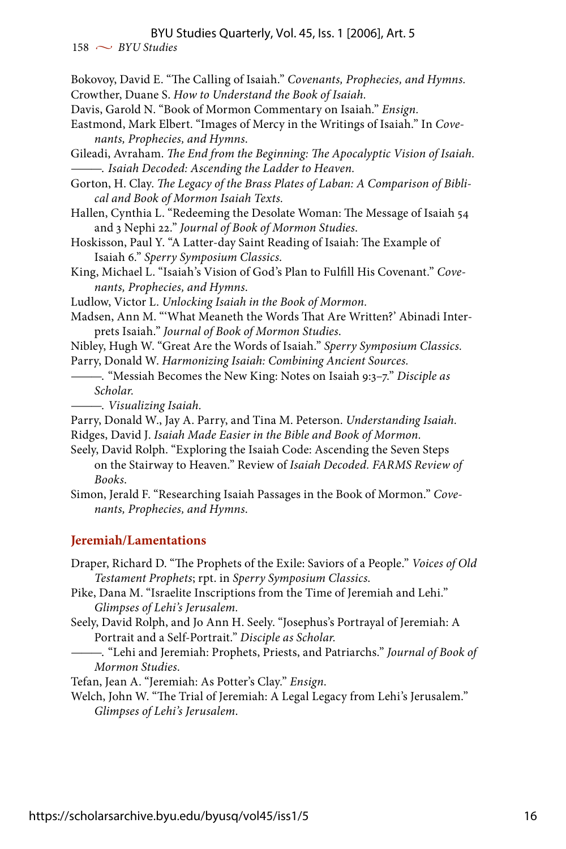158  $\sim$  *BYU Studies* 

Bokovoy, David E. "The Calling of Isaiah." *Covenants, Prophecies, and Hymns.* Crowther, Duane S. *How to Understand the Book of Isaiah.* 

- Davis, Garold N. "Book of Mormon Commentary on Isaiah." *Ensign.*
- Eastmond, Mark Elbert. "Images of Mercy in the Writings of Isaiah." In *Covenants, Prophecies, and Hymns*.

Gileadi, Avraham. *The End from the Beginning: The Apocalyptic Vision of Isaiah.*  ———. *Isaiah Decoded: Ascending the Ladder to Heaven.* 

Gorton, H. Clay. *The Legacy of the Brass Plates of Laban: A Comparison of Biblical and Book of Mormon Isaiah Texts.* 

Hallen, Cynthia L. "Redeeming the Desolate Woman: The Message of Isaiah 54 and 3 Nephi 22." *Journal of Book of Mormon Studies*.

Hoskisson, Paul Y. "A Latter-day Saint Reading of Isaiah: The Example of Isaiah 6." *Sperry Symposium Classics*.

King, Michael L. "Isaiah's Vision of God's Plan to Fulfill His Covenant." *Covenants, Prophecies, and Hymns*.

Ludlow, Victor L. *Unlocking Isaiah in the Book of Mormon.* 

Madsen, Ann M. "'What Meaneth the Words That Are Written?' Abinadi Interprets Isaiah." *Journal of Book of Mormon Studies*.

Nibley, Hugh W. "Great Are the Words of Isaiah." *Sperry Symposium Classics.*

Parry, Donald W. *Harmonizing Isaiah: Combining Ancient Sources.* 

———. "Messiah Becomes the New King: Notes on Isaiah 9:3–7." *Disciple as Scholar.*

———. *Visualizing Isaiah.* 

Parry, Donald W., Jay A. Parry, and Tina M. Peterson. *Understanding Isaiah.* Ridges, David J. *Isaiah Made Easier in the Bible and Book of Mormon.*

Seely, David Rolph. "Exploring the Isaiah Code: Ascending the Seven Steps on the Stairway to Heaven." Review of *Isaiah Decoded. FARMS Review of Books*.

Simon, Jerald F. "Researching Isaiah Passages in the Book of Mormon." *Covenants, Prophecies, and Hymns*.

#### **Jeremiah/Lamentations**

Draper, Richard D. "The Prophets of the Exile: Saviors of a People." *Voices of Old Testament Prophets*; rpt. in *Sperry Symposium Classics*.

Pike, Dana M. "Israelite Inscriptions from the Time of Jeremiah and Lehi." *Glimpses of Lehi's Jerusalem.*

Seely, David Rolph, and Jo Ann H. Seely. "Josephus's Portrayal of Jeremiah: A Portrait and a Self-Portrait." *Disciple as Scholar.*

———. "Lehi and Jeremiah: Prophets, Priests, and Patriarchs." *Journal of Book of Mormon Studies*.

Tefan, Jean A. "Jeremiah: As Potter's Clay." *Ensign*.

Welch, John W. "The Trial of Jeremiah: A Legal Legacy from Lehi's Jerusalem." *Glimpses of Lehi's Jerusalem*.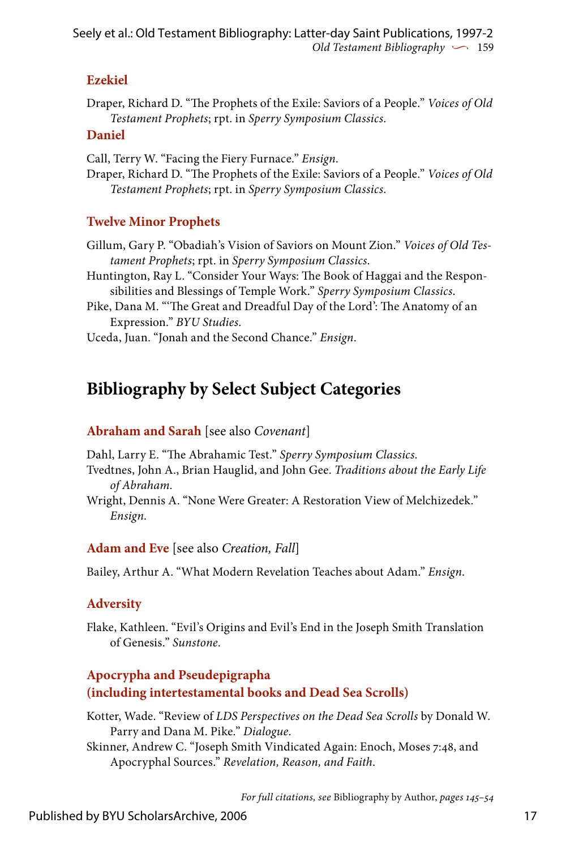## **Ezekiel**

Draper, Richard D. "The Prophets of the Exile: Saviors of a People." *Voices of Old Testament Prophets*; rpt. in *Sperry Symposium Classics*.

## **Daniel**

Call, Terry W. "Facing the Fiery Furnace." *Ensign*.

Draper, Richard D. "The Prophets of the Exile: Saviors of a People." *Voices of Old Testament Prophets*; rpt. in *Sperry Symposium Classics*.

## **Twelve Minor Prophets**

Gillum, Gary P. "Obadiah's Vision of Saviors on Mount Zion." *Voices of Old Testament Prophets*; rpt. in *Sperry Symposium Classics*.

Huntington, Ray L. "Consider Your Ways: The Book of Haggai and the Responsibilities and Blessings of Temple Work." *Sperry Symposium Classics*.

Pike, Dana M. "'The Great and Dreadful Day of the Lord': The Anatomy of an Expression." *BYU Studies*.

Uceda, Juan. "Jonah and the Second Chance." *Ensign*.

## **Bibliography by Select Subject Categories**

## **Abraham and Sarah** [see also *Covenant*]

Dahl, Larry E. "The Abrahamic Test." *Sperry Symposium Classics*.

Tvedtnes, John A., Brian Hauglid, and John Gee. *Traditions about the Early Life of Abraham.*

Wright, Dennis A. "None Were Greater: A Restoration View of Melchizedek." *Ensign*.

## **Adam and Eve** [see also *Creation, Fall*]

Bailey, Arthur A. "What Modern Revelation Teaches about Adam." *Ensign*.

## **Adversity**

Flake, Kathleen. "Evil's Origins and Evil's End in the Joseph Smith Translation of Genesis." *Sunstone.*

## **Apocrypha and Pseudepigrapha (including intertestamental books and Dead Sea Scrolls)**

Kotter, Wade. "Review of *LDS Perspectives on the Dead Sea Scrolls* by Donald W. Parry and Dana M. Pike." *Dialogue.*

Skinner, Andrew C. "Joseph Smith Vindicated Again: Enoch, Moses 7:48, and Apocryphal Sources." *Revelation, Reason, and Faith*.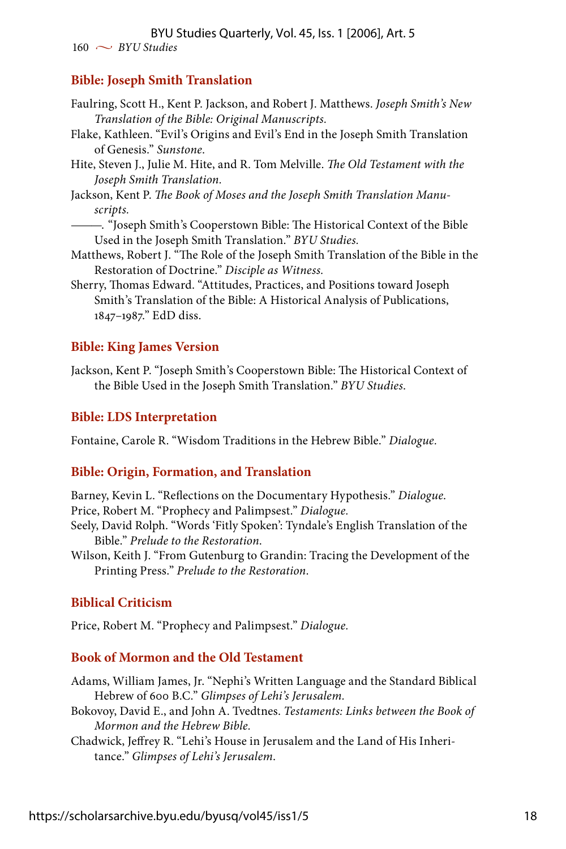$160 \sim$  *BYU Studies* 

#### **Bible: Joseph Smith Translation**

| Faulring, Scott H., Kent P. Jackson, and Robert J. Matthews. Joseph Smith's New |
|---------------------------------------------------------------------------------|
| Translation of the Bible: Original Manuscripts.                                 |
| Flake, Kathleen. "Evil's Origins and Evil's End in the Joseph Smith Translation |
| of Genesis." Sunstone.                                                          |

- Hite, Steven J., Julie M. Hite, and R. Tom Melville. *The Old Testament with the Joseph Smith Translation.*
- Jackson, Kent P. *The Book of Moses and the Joseph Smith Translation Manuscripts.* 
	- ———. "Joseph Smith's Cooperstown Bible: The Historical Context of the Bible Used in the Joseph Smith Translation." *BYU Studies.*
- Matthews, Robert J. "The Role of the Joseph Smith Translation of the Bible in the Restoration of Doctrine." *Disciple as Witness.*
- Sherry, Thomas Edward. "Attitudes, Practices, and Positions toward Joseph Smith's Translation of the Bible: A Historical Analysis of Publications, 1847–1987." EdD diss.

#### **Bible: King James Version**

Jackson, Kent P. "Joseph Smith's Cooperstown Bible: The Historical Context of the Bible Used in the Joseph Smith Translation." *BYU Studies*.

#### **Bible: LDS Interpretation**

Fontaine, Carole R. "Wisdom Traditions in the Hebrew Bible." *Dialogue.*

#### **Bible: Origin, Formation, and Translation**

Barney, Kevin L. "Reflections on the Documentary Hypothesis." *Dialogue*. Price, Robert M. "Prophecy and Palimpsest." *Dialogue.*

- Seely, David Rolph. "Words 'Fitly Spoken': Tyndale's English Translation of the Bible." *Prelude to the Restoration*.
- Wilson, Keith J. "From Gutenburg to Grandin: Tracing the Development of the Printing Press." *Prelude to the Restoration*.

#### **Biblical Criticism**

Price, Robert M. "Prophecy and Palimpsest." *Dialogue.*

#### **Book of Mormon and the Old Testament**

Adams, William James, Jr. "Nephi's Written Language and the Standard Biblical Hebrew of 600 B.C." *Glimpses of Lehi's Jerusalem.*

Bokovoy, David E., and John A. Tvedtnes. *Testaments: Links between the Book of Mormon and the Hebrew Bible.*

Chadwick, Jeffrey R. "Lehi's House in Jerusalem and the Land of His Inheritance." *Glimpses of Lehi's Jerusalem*.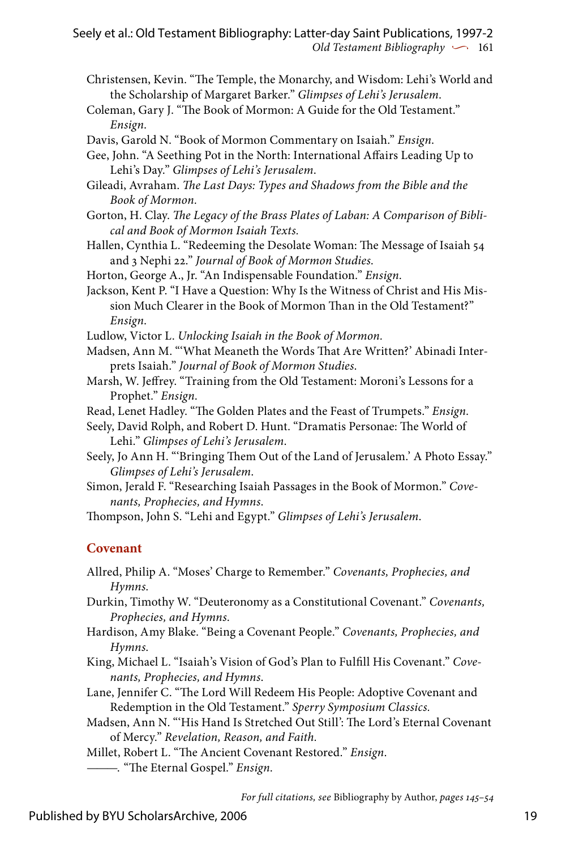- Christensen, Kevin. "The Temple, the Monarchy, and Wisdom: Lehi's World and the Scholarship of Margaret Barker." *Glimpses of Lehi's Jerusalem*.
- Coleman, Gary J. "The Book of Mormon: A Guide for the Old Testament." *Ensign*.
- Davis, Garold N. "Book of Mormon Commentary on Isaiah." *Ensign*.

- Gileadi, Avraham. *The Last Days: Types and Shadows from the Bible and the Book of Mormon.*
- Gorton, H. Clay. *The Legacy of the Brass Plates of Laban: A Comparison of Biblical and Book of Mormon Isaiah Texts.*
- Hallen, Cynthia L. "Redeeming the Desolate Woman: The Message of Isaiah 54 and 3 Nephi 22." *Journal of Book of Mormon Studies*.
- Horton, George A., Jr. "An Indispensable Foundation." *Ensign*.
- Jackson, Kent P. "I Have a Question: Why Is the Witness of Christ and His Mission Much Clearer in the Book of Mormon Than in the Old Testament?" *Ensign*.
- Ludlow, Victor L. *Unlocking Isaiah in the Book of Mormon.*
- Madsen, Ann M. "'What Meaneth the Words That Are Written?' Abinadi Interprets Isaiah." *Journal of Book of Mormon Studies*.
- Marsh, W. Jeffrey. "Training from the Old Testament: Moroni's Lessons for a Prophet." *Ensign*.
- Read, Lenet Hadley. "The Golden Plates and the Feast of Trumpets." *Ensign*.
- Seely, David Rolph, and Robert D. Hunt. "Dramatis Personae: The World of Lehi." *Glimpses of Lehi's Jerusalem*.
- Seely, Jo Ann H. "'Bringing Them Out of the Land of Jerusalem.' A Photo Essay." *Glimpses of Lehi's Jerusalem*.
- Simon, Jerald F. "Researching Isaiah Passages in the Book of Mormon." *Covenants, Prophecies, and Hymns*.

Thompson, John S. "Lehi and Egypt." *Glimpses of Lehi's Jerusalem*.

#### **Covenant**

Allred, Philip A. "Moses' Charge to Remember." *Covenants, Prophecies, and Hymns*.

- Durkin, Timothy W. "Deuteronomy as a Constitutional Covenant." *Covenants, Prophecies, and Hymns*.
- Hardison, Amy Blake. "Being a Covenant People." *Covenants, Prophecies, and Hymns*.
- King, Michael L. "Isaiah's Vision of God's Plan to Fulfill His Covenant." *Covenants, Prophecies, and Hymns*.

Lane, Jennifer C. "The Lord Will Redeem His People: Adoptive Covenant and Redemption in the Old Testament." *Sperry Symposium Classics.*

Madsen, Ann N. "'His Hand Is Stretched Out Still': The Lord's Eternal Covenant of Mercy." *Revelation, Reason, and Faith.*

Millet, Robert L. "The Ancient Covenant Restored." *Ensign*.

———. "The Eternal Gospel." *Ensign*.

Gee, John. "A Seething Pot in the North: International Affairs Leading Up to Lehi's Day." *Glimpses of Lehi's Jerusalem*.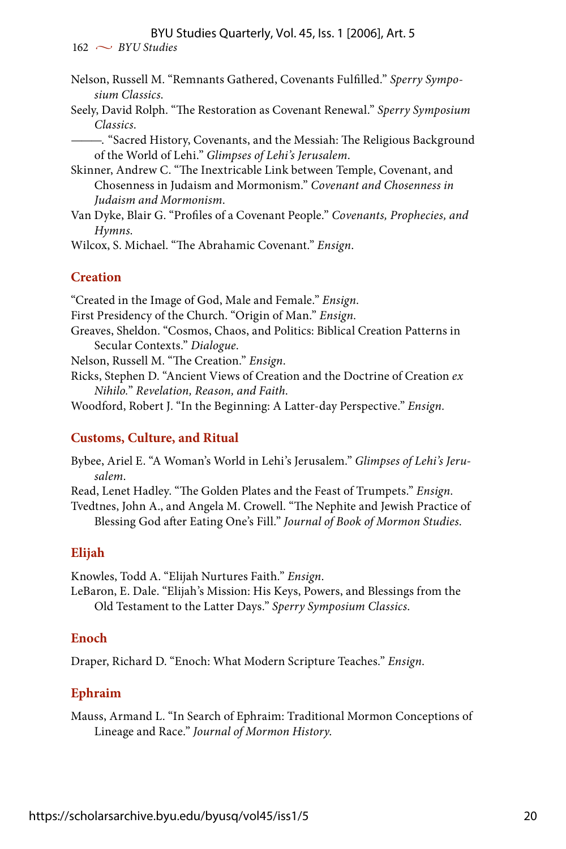162  $\sim$  *BYU Studies* 

- Nelson, Russell M. "Remnants Gathered, Covenants Fulfilled." *Sperry Symposium Classics*.
- Seely, David Rolph. "The Restoration as Covenant Renewal." *Sperry Symposium Classics*.

———. "Sacred History, Covenants, and the Messiah: The Religious Background of the World of Lehi." *Glimpses of Lehi's Jerusalem*.

Skinner, Andrew C. "The Inextricable Link between Temple, Covenant, and Chosenness in Judaism and Mormonism." *Covenant and Chosenness in Judaism and Mormonism*.

Van Dyke, Blair G. "Profiles of a Covenant People." *Covenants, Prophecies, and Hymns*.

Wilcox, S. Michael. "The Abrahamic Covenant." *Ensign*.

#### **Creation**

"Created in the Image of God, Male and Female." *Ensign*.

- First Presidency of the Church. "Origin of Man." *Ensign*.
- Greaves, Sheldon. "Cosmos, Chaos, and Politics: Biblical Creation Patterns in Secular Contexts." *Dialogue*.

Nelson, Russell M. "The Creation." *Ensign*.

Ricks, Stephen D. "Ancient Views of Creation and the Doctrine of Creation *ex Nihilo.*" *Revelation, Reason, and Faith*.

Woodford, Robert J. "In the Beginning: A Latter-day Perspective." *Ensign.*

#### **Customs, Culture, and Ritual**

Bybee, Ariel E. "A Woman's World in Lehi's Jerusalem." *Glimpses of Lehi's Jerusalem*.

Read, Lenet Hadley. "The Golden Plates and the Feast of Trumpets." *Ensign*. Tvedtnes, John A., and Angela M. Crowell. "The Nephite and Jewish Practice of Blessing God after Eating One's Fill." *Journal of Book of Mormon Studies*.

#### **Elijah**

Knowles, Todd A. "Elijah Nurtures Faith." *Ensign*.

LeBaron, E. Dale. "Elijah's Mission: His Keys, Powers, and Blessings from the Old Testament to the Latter Days." *Sperry Symposium Classics*.

#### **Enoch**

Draper, Richard D. "Enoch: What Modern Scripture Teaches." *Ensign*.

#### **Ephraim**

Mauss, Armand L. "In Search of Ephraim: Traditional Mormon Conceptions of Lineage and Race." *Journal of Mormon History*.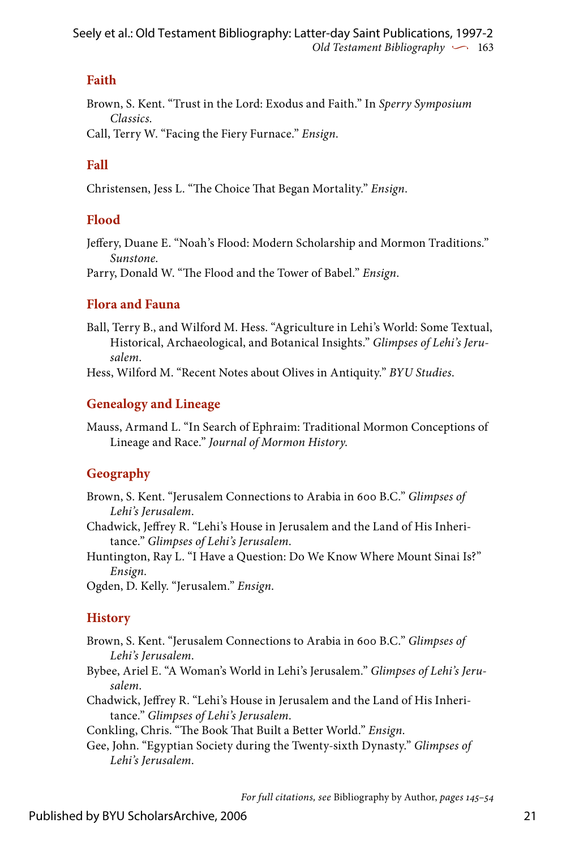## **Faith**

Brown, S. Kent. "Trust in the Lord: Exodus and Faith." In *Sperry Symposium Classics*.

Call, Terry W. "Facing the Fiery Furnace." *Ensign*.

## **Fall**

Christensen, Jess L. "The Choice That Began Mortality." *Ensign*.

## **Flood**

Jeffery, Duane E. "Noah's Flood: Modern Scholarship and Mormon Traditions." *Sunstone*.

Parry, Donald W. "The Flood and the Tower of Babel." *Ensign*.

## **Flora and Fauna**

Ball, Terry B., and Wilford M. Hess. "Agriculture in Lehi's World: Some Textual, Historical, Archaeological, and Botanical Insights." *Glimpses of Lehi's Jerusalem*.

Hess, Wilford M. "Recent Notes about Olives in Antiquity." *BYU Studies*.

## **Genealogy and Lineage**

Mauss, Armand L. "In Search of Ephraim: Traditional Mormon Conceptions of Lineage and Race." *Journal of Mormon History*.

## **Geography**

- Brown, S. Kent. "Jerusalem Connections to Arabia in 600 B.C." *Glimpses of Lehi's Jerusalem*.
- Chadwick, Jeffrey R. "Lehi's House in Jerusalem and the Land of His Inheritance." *Glimpses of Lehi's Jerusalem*.
- Huntington, Ray L. "I Have a Question: Do We Know Where Mount Sinai Is?" *Ensign*.

Ogden, D. Kelly. "Jerusalem." *Ensign*.

## **History**

Brown, S. Kent. "Jerusalem Connections to Arabia in 600 B.C." *Glimpses of Lehi's Jerusalem*.

- Bybee, Ariel E. "A Woman's World in Lehi's Jerusalem." *Glimpses of Lehi's Jerusalem*.
- Chadwick, Jeffrey R. "Lehi's House in Jerusalem and the Land of His Inheritance." *Glimpses of Lehi's Jerusalem*.

Conkling, Chris. "The Book That Built a Better World." *Ensign*.

Gee, John. "Egyptian Society during the Twenty-sixth Dynasty." *Glimpses of Lehi's Jerusalem*.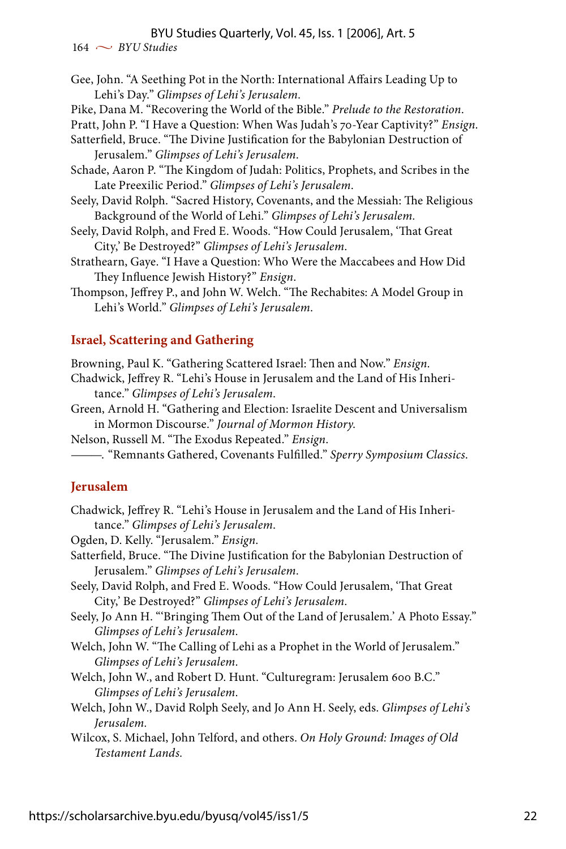$164 \sim$  *BYU Studies* 

- Gee, John. "A Seething Pot in the North: International Affairs Leading Up to Lehi's Day." *Glimpses of Lehi's Jerusalem*.
- Pike, Dana M. "Recovering the World of the Bible." *Prelude to the Restoration*.
- Pratt, John P. "I Have a Question: When Was Judah's 70-Year Captivity?" *Ensign*.
- Satterfield, Bruce. "The Divine Justification for the Babylonian Destruction of Jerusalem." *Glimpses of Lehi's Jerusalem*.
- Schade, Aaron P. "The Kingdom of Judah: Politics, Prophets, and Scribes in the Late Preexilic Period." *Glimpses of Lehi's Jerusalem*.
- Seely, David Rolph. "Sacred History, Covenants, and the Messiah: The Religious Background of the World of Lehi." *Glimpses of Lehi's Jerusalem.*
- Seely, David Rolph, and Fred E. Woods. "How Could Jerusalem, 'That Great City,' Be Destroyed?" *Glimpses of Lehi's Jerusalem*.
- Strathearn, Gaye. "I Have a Question: Who Were the Maccabees and How Did They Influence Jewish History?" *Ensign*.
- Thompson, Jeffrey P., and John W. Welch. "The Rechabites: A Model Group in Lehi's World." *Glimpses of Lehi's Jerusalem*.

#### **Israel, Scattering and Gathering**

Browning, Paul K. "Gathering Scattered Israel: Then and Now." *Ensign*.

- Chadwick, Jeffrey R. "Lehi's House in Jerusalem and the Land of His Inheritance." *Glimpses of Lehi's Jerusalem*.
- Green, Arnold H. "Gathering and Election: Israelite Descent and Universalism in Mormon Discourse." *Journal of Mormon History*.

Nelson, Russell M. "The Exodus Repeated." *Ensign*.

———. "Remnants Gathered, Covenants Fulfilled." *Sperry Symposium Classics*.

#### **Jerusalem**

Chadwick, Jeffrey R. "Lehi's House in Jerusalem and the Land of His Inheritance." *Glimpses of Lehi's Jerusalem*. Ogden, D. Kelly. "Jerusalem." *Ensign*. Satterfield, Bruce. "The Divine Justification for the Babylonian Destruction of Jerusalem." *Glimpses of Lehi's Jerusalem*. Seely, David Rolph, and Fred E. Woods. "How Could Jerusalem, 'That Great City,' Be Destroyed?" *Glimpses of Lehi's Jerusalem*. Seely, Jo Ann H. "'Bringing Them Out of the Land of Jerusalem.' A Photo Essay." *Glimpses of Lehi's Jerusalem*. Welch, John W. "The Calling of Lehi as a Prophet in the World of Jerusalem." *Glimpses of Lehi's Jerusalem*. Welch, John W., and Robert D. Hunt. "Culturegram: Jerusalem 600 B.C." *Glimpses of Lehi's Jerusalem*. Welch, John W., David Rolph Seely, and Jo Ann H. Seely, eds. *Glimpses of Lehi's Jerusalem.* Wilcox, S. Michael, John Telford, and others. *On Holy Ground: Images of Old Testament Lands.*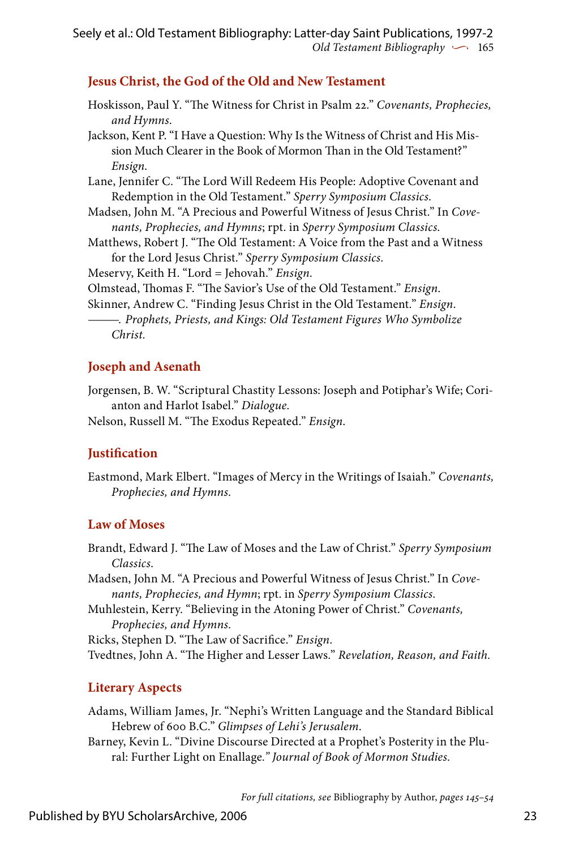## **Jesus Christ, the God of the Old and New Testament**

- Hoskisson, Paul Y. "The Witness for Christ in Psalm 22." *Covenants, Prophecies, and Hymns*.
- Jackson, Kent P. "I Have a Question: Why Is the Witness of Christ and His Mission Much Clearer in the Book of Mormon Than in the Old Testament?" *Ensign*.
- Lane, Jennifer C. "The Lord Will Redeem His People: Adoptive Covenant and Redemption in the Old Testament." *Sperry Symposium Classics*.
- Madsen, John M. "A Precious and Powerful Witness of Jesus Christ." In *Covenants, Prophecies, and Hymns*; rpt. in *Sperry Symposium Classics*.
- Matthews, Robert J. "The Old Testament: A Voice from the Past and a Witness for the Lord Jesus Christ." *Sperry Symposium Classics*.

Meservy, Keith H. "Lord = Jehovah." *Ensign*.

Olmstead, Thomas F. "The Savior's Use of the Old Testament." *Ensign*.

Skinner, Andrew C. "Finding Jesus Christ in the Old Testament." *Ensign*.

———. *Prophets, Priests, and Kings: Old Testament Figures Who Symbolize Christ.*

## **Joseph and Asenath**

Jorgensen, B. W. "Scriptural Chastity Lessons: Joseph and Potiphar's Wife; Corianton and Harlot Isabel." *Dialogue*.

Nelson, Russell M. "The Exodus Repeated." *Ensign*.

## **Justification**

Eastmond, Mark Elbert. "Images of Mercy in the Writings of Isaiah." *Covenants, Prophecies, and Hymns*.

## **Law of Moses**

Brandt, Edward J. "The Law of Moses and the Law of Christ." *Sperry Symposium Classics*.

Madsen, John M. "A Precious and Powerful Witness of Jesus Christ." In *Covenants, Prophecies, and Hymn*; rpt. in *Sperry Symposium Classics*.

Muhlestein, Kerry. "Believing in the Atoning Power of Christ." *Covenants, Prophecies, and Hymns*.

Ricks, Stephen D. "The Law of Sacrifice." *Ensign*.

Tvedtnes, John A. "The Higher and Lesser Laws." *Revelation, Reason, and Faith.*

## **Literary Aspects**

Adams, William James, Jr. "Nephi's Written Language and the Standard Biblical Hebrew of 600 B.C." *Glimpses of Lehi's Jerusalem*.

Barney, Kevin L. "Divine Discourse Directed at a Prophet's Posterity in the Plural: Further Light on Enallage*." Journal of Book of Mormon Studies*.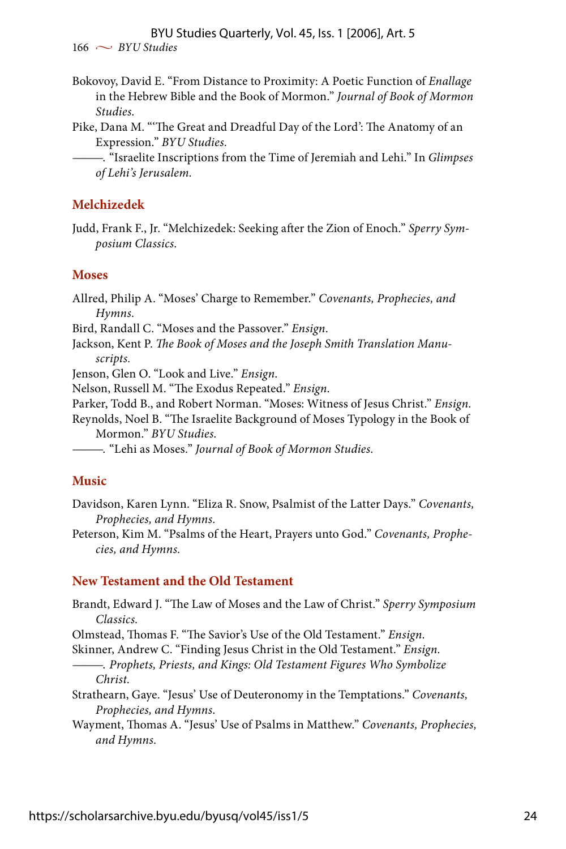166  $\sim$  *BYU Studies* 

- Bokovoy, David E. "From Distance to Proximity: A Poetic Function of *Enallage* in the Hebrew Bible and the Book of Mormon." *Journal of Book of Mormon Studies*.
- Pike, Dana M. "'The Great and Dreadful Day of the Lord': The Anatomy of an Expression." *BYU Studies*.

———. "Israelite Inscriptions from the Time of Jeremiah and Lehi." In *Glimpses of Lehi's Jerusalem*.

#### **Melchizedek**

Judd, Frank F., Jr. "Melchizedek: Seeking after the Zion of Enoch." *Sperry Symposium Classics*.

#### **Moses**

Allred, Philip A. "Moses' Charge to Remember." *Covenants, Prophecies, and Hymns*.

Bird, Randall C. "Moses and the Passover." *Ensign*.

Jackson, Kent P. *The Book of Moses and the Joseph Smith Translation Manuscripts.*

Jenson, Glen O. "Look and Live." *Ensign*.

Nelson, Russell M. "The Exodus Repeated." *Ensign*.

Parker, Todd B., and Robert Norman. "Moses: Witness of Jesus Christ." *Ensign*.

Reynolds, Noel B. "The Israelite Background of Moses Typology in the Book of Mormon." *BYU Studies*.

———. "Lehi as Moses." *Journal of Book of Mormon Studies*.

#### **Music**

Davidson, Karen Lynn. "Eliza R. Snow, Psalmist of the Latter Days." *Covenants, Prophecies, and Hymns.*

Peterson, Kim M. "Psalms of the Heart, Prayers unto God." *Covenants, Prophecies, and Hymns*.

#### **New Testament and the Old Testament**

Brandt, Edward J. "The Law of Moses and the Law of Christ." *Sperry Symposium Classics.*

Olmstead, Thomas F. "The Savior's Use of the Old Testament." *Ensign*.

Skinner, Andrew C. "Finding Jesus Christ in the Old Testament." *Ensign*.

———. *Prophets, Priests, and Kings: Old Testament Figures Who Symbolize Christ.*

Strathearn, Gaye. "Jesus' Use of Deuteronomy in the Temptations." *Covenants, Prophecies, and Hymns*.

Wayment, Thomas A. "Jesus' Use of Psalms in Matthew." *Covenants, Prophecies, and Hymns*.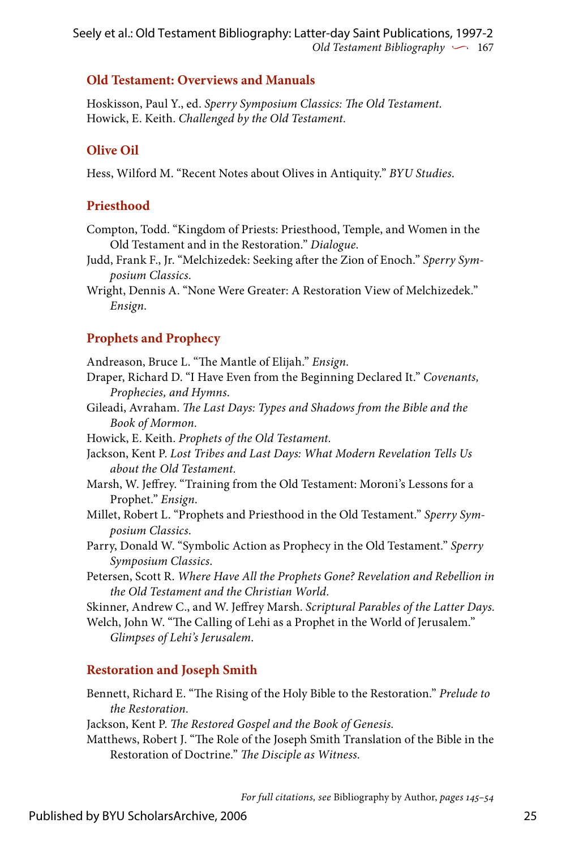## **Old Testament: Overviews and Manuals**

Hoskisson, Paul Y., ed. *Sperry Symposium Classics: The Old Testament.*  Howick, E. Keith. *Challenged by the Old Testament.*

## **Olive Oil**

Hess, Wilford M. "Recent Notes about Olives in Antiquity." *BYU Studies*.

## **Priesthood**

- Compton, Todd. "Kingdom of Priests: Priesthood, Temple, and Women in the Old Testament and in the Restoration." *Dialogue*.
- Judd, Frank F., Jr. "Melchizedek: Seeking after the Zion of Enoch." *Sperry Symposium Classics*.
- Wright, Dennis A. "None Were Greater: A Restoration View of Melchizedek." *Ensign*.

## **Prophets and Prophecy**

Andreason, Bruce L. "The Mantle of Elijah." *Ensign*.

Draper, Richard D. "I Have Even from the Beginning Declared It." *Covenants, Prophecies, and Hymns*.

Gileadi, Avraham. *The Last Days: Types and Shadows from the Bible and the Book of Mormon.* 

Howick, E. Keith. *Prophets of the Old Testament.* 

Jackson, Kent P. *Lost Tribes and Last Days: What Modern Revelation Tells Us about the Old Testament.* 

Marsh, W. Jeffrey. "Training from the Old Testament: Moroni's Lessons for a Prophet." *Ensign*.

- Millet, Robert L. "Prophets and Priesthood in the Old Testament." *Sperry Symposium Classics*.
- Parry, Donald W. "Symbolic Action as Prophecy in the Old Testament." *Sperry Symposium Classics*.

Petersen, Scott R. *Where Have All the Prophets Gone? Revelation and Rebellion in the Old Testament and the Christian World.* 

Skinner, Andrew C., and W. Jeffrey Marsh. *Scriptural Parables of the Latter Days.*

Welch, John W. "The Calling of Lehi as a Prophet in the World of Jerusalem."

*Glimpses of Lehi's Jerusalem*.

## **Restoration and Joseph Smith**

Bennett, Richard E. "The Rising of the Holy Bible to the Restoration." *Prelude to the Restoration.*

Jackson, Kent P. *The Restored Gospel and the Book of Genesis.* 

Matthews, Robert J. "The Role of the Joseph Smith Translation of the Bible in the Restoration of Doctrine." *The Disciple as Witness.*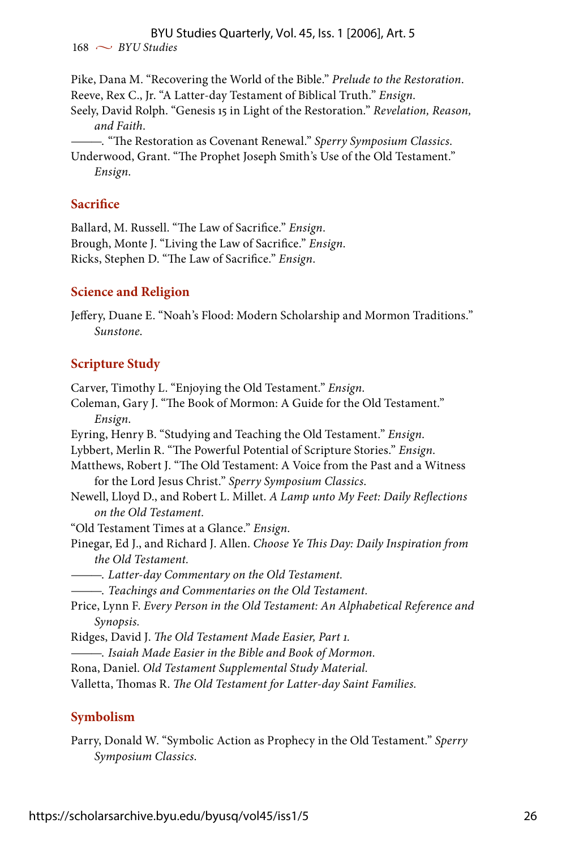#### $168 \sim$  *BYU Studies* BYU Studies Quarterly, Vol. 45, Iss. 1 [2006], Art. 5

Pike, Dana M. "Recovering the World of the Bible." *Prelude to the Restoration*. Reeve, Rex C., Jr. "A Latter-day Testament of Biblical Truth." *Ensign*.

Seely, David Rolph. "Genesis 15 in Light of the Restoration." *Revelation, Reason, and Faith*.

———. "The Restoration as Covenant Renewal." *Sperry Symposium Classics*.

Underwood, Grant. "The Prophet Joseph Smith's Use of the Old Testament." *Ensign*.

#### **Sacrifice**

Ballard, M. Russell. "The Law of Sacrifice." *Ensign*. Brough, Monte J. "Living the Law of Sacrifice." *Ensign*. Ricks, Stephen D. "The Law of Sacrifice." *Ensign*.

## **Science and Religion**

Jeffery, Duane E. "Noah's Flood: Modern Scholarship and Mormon Traditions." *Sunstone*.

## **Scripture Study**

Carver, Timothy L. "Enjoying the Old Testament." *Ensign*. Coleman, Gary J. "The Book of Mormon: A Guide for the Old Testament." *Ensign*. Eyring, Henry B. "Studying and Teaching the Old Testament." *Ensign*. Lybbert, Merlin R. "The Powerful Potential of Scripture Stories." *Ensign*. Matthews, Robert J. "The Old Testament: A Voice from the Past and a Witness for the Lord Jesus Christ." *Sperry Symposium Classics*. Newell, Lloyd D., and Robert L. Millet. *A Lamp unto My Feet: Daily Reflections on the Old Testament.*  "Old Testament Times at a Glance." *Ensign*. Pinegar, Ed J., and Richard J. Allen. *Choose Ye This Day: Daily Inspiration from the Old Testament.* ———. *Latter-day Commentary on the Old Testament.*  ———. *Teachings and Commentaries on the Old Testament.*  Price, Lynn F. *Every Person in the Old Testament: An Alphabetical Reference and Synopsis.*  Ridges, David J. *The Old Testament Made Easier, Part 1.*  ———. *Isaiah Made Easier in the Bible and Book of Mormon.* Rona, Daniel. *Old Testament Supplemental Study Material.*  Valletta, Thomas R. *The Old Testament for Latter-day Saint Families.*

## **Symbolism**

Parry, Donald W. "Symbolic Action as Prophecy in the Old Testament." *Sperry Symposium Classics*.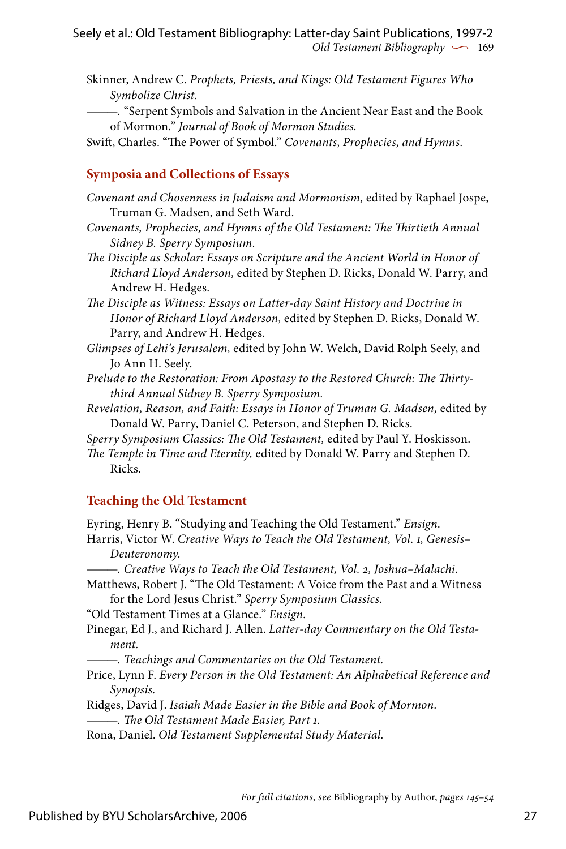- Skinner, Andrew C. *Prophets, Priests, and Kings: Old Testament Figures Who Symbolize Christ.*
- ———. "Serpent Symbols and Salvation in the Ancient Near East and the Book of Mormon." *Journal of Book of Mormon Studies*.

Swift, Charles. "The Power of Symbol." *Covenants, Prophecies, and Hymns*.

#### **Symposia and Collections of Essays**

*Covenant and Chosenness in Judaism and Mormonism,* edited by Raphael Jospe, Truman G. Madsen, and Seth Ward.

- *Covenants, Prophecies, and Hymns of the Old Testament: The Thirtieth Annual Sidney B. Sperry Symposium.*
- *The Disciple as Scholar: Essays on Scripture and the Ancient World in Honor of Richard Lloyd Anderson,* edited by Stephen D. Ricks, Donald W. Parry, and Andrew H. Hedges.
- *The Disciple as Witness: Essays on Latter-day Saint History and Doctrine in Honor of Richard Lloyd Anderson,* edited by Stephen D. Ricks, Donald W. Parry, and Andrew H. Hedges.
- *Glimpses of Lehi's Jerusalem,* edited by John W. Welch, David Rolph Seely, and Jo Ann H. Seely.
- *Prelude to the Restoration: From Apostasy to the Restored Church: The Thirtythird Annual Sidney B. Sperry Symposium.*
- *Revelation, Reason, and Faith: Essays in Honor of Truman G. Madsen,* edited by Donald W. Parry, Daniel C. Peterson, and Stephen D. Ricks.
- *Sperry Symposium Classics: The Old Testament,* edited by Paul Y. Hoskisson.
- *The Temple in Time and Eternity,* edited by Donald W. Parry and Stephen D. Ricks.

#### **Teaching the Old Testament**

Eyring, Henry B. "Studying and Teaching the Old Testament." *Ensign*.

- Harris, Victor W. *Creative Ways to Teach the Old Testament, Vol. 1, Genesis– Deuteronomy.*
- ———. *Creative Ways to Teach the Old Testament, Vol. 2, Joshua–Malachi.*

Matthews, Robert J. "The Old Testament: A Voice from the Past and a Witness for the Lord Jesus Christ." *Sperry Symposium Classics*.

"Old Testament Times at a Glance." *Ensign*.

Pinegar, Ed J., and Richard J. Allen. *Latter-day Commentary on the Old Testament.* 

———. *Teachings and Commentaries on the Old Testament.* 

Price, Lynn F. *Every Person in the Old Testament: An Alphabetical Reference and Synopsis.* 

Ridges, David J. *Isaiah Made Easier in the Bible and Book of Mormon.*  ———. *The Old Testament Made Easier, Part 1.* 

Rona, Daniel. *Old Testament Supplemental Study Material.*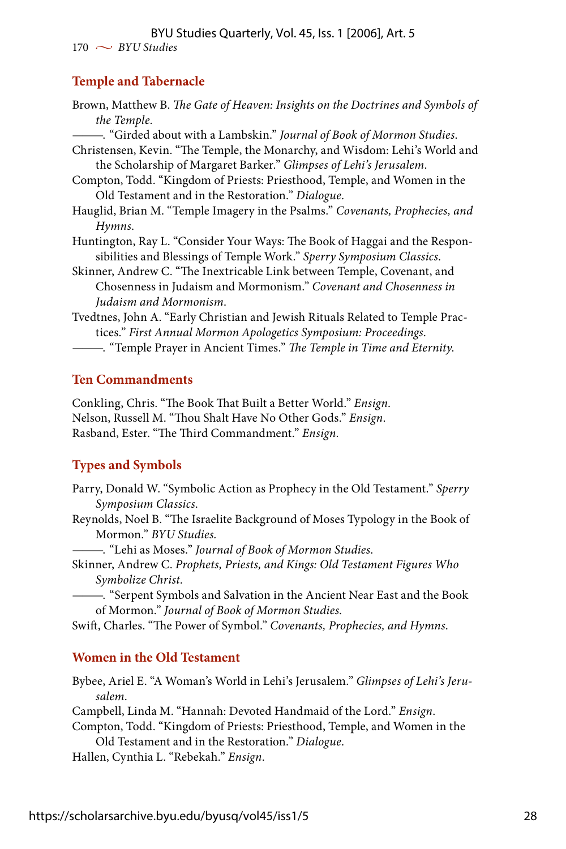170  $\sim$  *BYU Studies* 

## **Temple and Tabernacle**

Brown, Matthew B. *The Gate of Heaven: Insights on the Doctrines and Symbols of the Temple.* 

———. "Girded about with a Lambskin." *Journal of Book of Mormon Studies*.

- Christensen, Kevin. "The Temple, the Monarchy, and Wisdom: Lehi's World and the Scholarship of Margaret Barker." *Glimpses of Lehi's Jerusalem*.
- Compton, Todd. "Kingdom of Priests: Priesthood, Temple, and Women in the Old Testament and in the Restoration." *Dialogue*.
- Hauglid, Brian M. "Temple Imagery in the Psalms." *Covenants, Prophecies, and Hymns*.
- Huntington, Ray L. "Consider Your Ways: The Book of Haggai and the Responsibilities and Blessings of Temple Work." *Sperry Symposium Classics*.
- Skinner, Andrew C. "The Inextricable Link between Temple, Covenant, and Chosenness in Judaism and Mormonism." *Covenant and Chosenness in Judaism and Mormonism*.
- Tvedtnes, John A. "Early Christian and Jewish Rituals Related to Temple Practices." *First Annual Mormon Apologetics Symposium: Proceedings*.

———. "Temple Prayer in Ancient Times." *The Temple in Time and Eternity*.

#### **Ten Commandments**

Conkling, Chris. "The Book That Built a Better World." *Ensign*. Nelson, Russell M. "Thou Shalt Have No Other Gods." *Ensign*. Rasband, Ester. "The Third Commandment." *Ensign*.

## **Types and Symbols**

- Parry, Donald W. "Symbolic Action as Prophecy in the Old Testament." *Sperry Symposium Classics*.
- Reynolds, Noel B. "The Israelite Background of Moses Typology in the Book of Mormon." *BYU Studies*.
	- ———. "Lehi as Moses." *Journal of Book of Mormon Studies*.
- Skinner, Andrew C. *Prophets, Priests, and Kings: Old Testament Figures Who Symbolize Christ.*

———. "Serpent Symbols and Salvation in the Ancient Near East and the Book of Mormon." *Journal of Book of Mormon Studies*.

Swift, Charles. "The Power of Symbol." *Covenants, Prophecies, and Hymns*.

## **Women in the Old Testament**

Bybee, Ariel E. "A Woman's World in Lehi's Jerusalem." *Glimpses of Lehi's Jerusalem*.

Campbell, Linda M. "Hannah: Devoted Handmaid of the Lord." *Ensign*.

Compton, Todd. "Kingdom of Priests: Priesthood, Temple, and Women in the Old Testament and in the Restoration." *Dialogue*.

Hallen, Cynthia L. "Rebekah." *Ensign*.